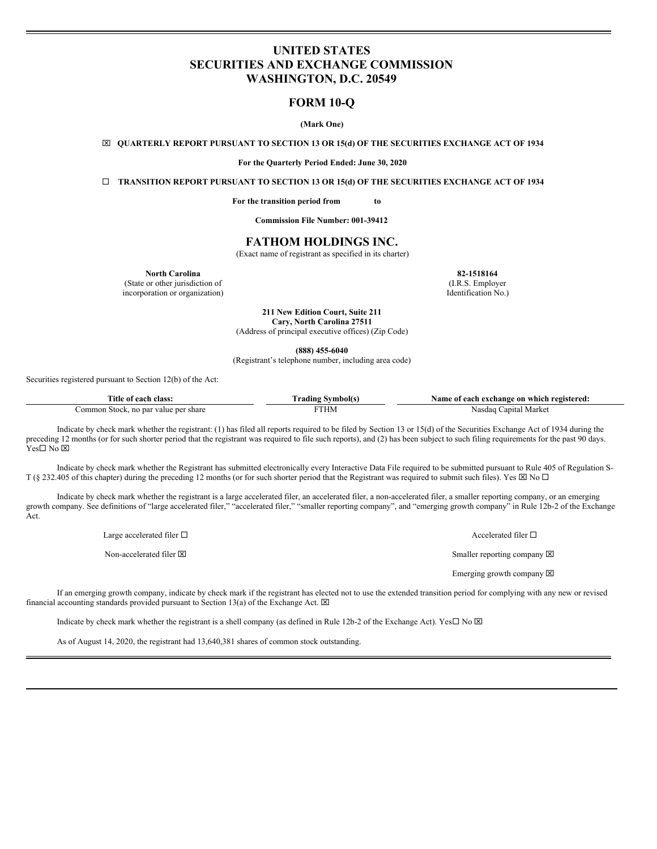# **UNITED STATES SECURITIES AND EXCHANGE COMMISSION WASHINGTON, D.C. 20549**

# **FORM 10-Q**

# **(Mark One)**

x **QUARTERLY REPORT PURSUANT TO SECTION 13 OR 15(d) OF THE SECURITIES EXCHANGE ACT OF 1934**

**For the Quarterly Period Ended: June 30, 2020**

¨ **TRANSITION REPORT PURSUANT TO SECTION 13 OR 15(d) OF THE SECURITIES EXCHANGE ACT OF 1934**

**For the transition period from to**

**Commission File Number: 001-39412**

# **FATHOM HOLDINGS INC.**

(Exact name of registrant as specified in its charter)

**North Carolina 82-1518164**

(State or other jurisdiction of (I.R.S. Employer incorporation or organization) and the control of the control of the control of the control of the control of the control of the control of the control of the control of the control of the control of the control of the con

**211 New Edition Court, Suite 211**

**Cary, North Carolina 27511** (Address of principal executive offices) (Zip Code)

**(888) 455-6040**

(Registrant's telephone number, including area code)

Securities registered pursuant to Section 12(b) of the Act:

| $\sim$<br>class.<br>eacl<br>٦tle                       |    | registered.<br>kehange.<br>on<br>aaah<br>which<br>$\sqrt{am}$<br>$\mathbf{\Omega}$<br>01 |
|--------------------------------------------------------|----|------------------------------------------------------------------------------------------|
| share<br>nei<br>moi<br>value<br>NIOCH<br>J par<br>. no | ΉN | anital<br>Market<br>Nasdac<br>.                                                          |

Indicate by check mark whether the registrant: (1) has filed all reports required to be filed by Section 13 or 15(d) of the Securities Exchange Act of 1934 during the preceding 12 months (or for such shorter period that the registrant was required to file such reports), and (2) has been subject to such filing requirements for the past 90 days.  $Yes\Box$  No  $\boxtimes$ 

Indicate by check mark whether the Registrant has submitted electronically every Interactive Data File required to be submitted pursuant to Rule 405 of Regulation S-T (§ 232.405 of this chapter) during the preceding 12 months (or for such shorter period that the Registrant was required to submit such files). Yes  $\boxtimes$  No  $\Box$ 

Indicate by check mark whether the registrant is a large accelerated filer, an accelerated filer, a non-accelerated filer, a smaller reporting company, or an emerging growth company. See definitions of "large accelerated filer," "accelerated filer," "smaller reporting company", and "emerging growth company" in Rule 12b-2 of the Exchange Act.

Large accelerated filer  $\square$ 

Non-accelerated filer  $\boxtimes$  Smaller reporting company  $\boxtimes$ 

Emerging growth company  $\boxtimes$ 

If an emerging growth company, indicate by check mark if the registrant has elected not to use the extended transition period for complying with any new or revised financial accounting standards provided pursuant to Section 13(a) of the Exchange Act.  $\boxtimes$ 

Indicate by check mark whether the registrant is a shell company (as defined in Rule 12b-2 of the Exchange Act). Yes $\Box$  No  $\boxtimes$ 

As of August 14, 2020, the registrant had 13,640,381 shares of common stock outstanding.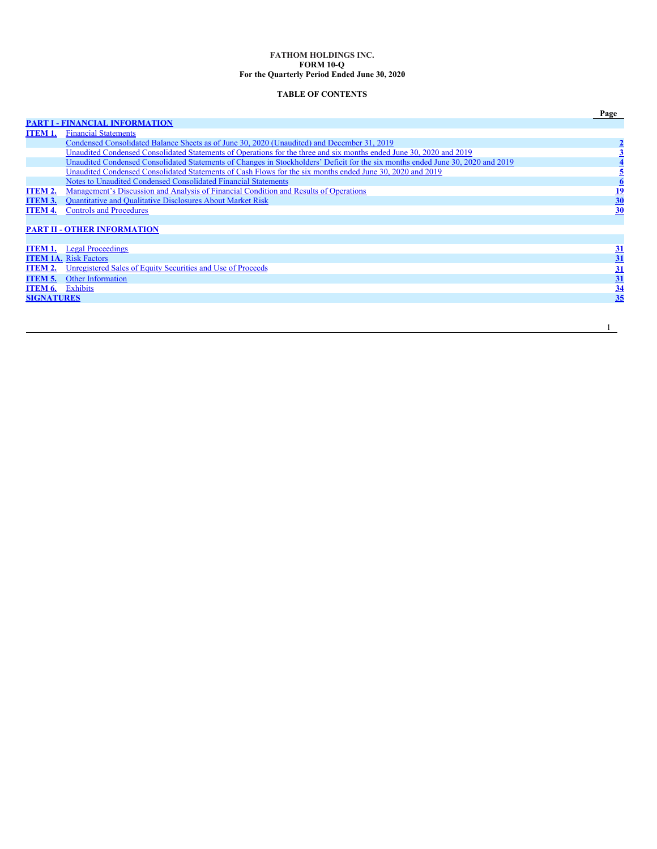# **FATHOM HOLDINGS INC. FORM 10-Q For the Quarterly Period Ended June 30, 2020**

# **TABLE OF CONTENTS**

|                   |                                                                                                                                 | Page            |
|-------------------|---------------------------------------------------------------------------------------------------------------------------------|-----------------|
|                   | <b>PART I - FINANCIAL INFORMATION</b>                                                                                           |                 |
| <b>ITEM 1.</b>    | <b>Financial Statements</b>                                                                                                     |                 |
|                   | Condensed Consolidated Balance Sheets as of June 30, 2020 (Unaudited) and December 31, 2019                                     |                 |
|                   | Unaudited Condensed Consolidated Statements of Operations for the three and six months ended June 30, 2020 and 2019             |                 |
|                   | Unaudited Condensed Consolidated Statements of Changes in Stockholders' Deficit for the six months ended June 30, 2020 and 2019 |                 |
|                   | Unaudited Condensed Consolidated Statements of Cash Flows for the six months ended June 30, 2020 and 2019                       |                 |
|                   | Notes to Unaudited Condensed Consolidated Financial Statements                                                                  |                 |
| ITEM 2.           | Management's Discussion and Analysis of Financial Condition and Results of Operations                                           | $\frac{19}{30}$ |
| <b>ITEM 3.</b>    | <b>Ouantitative and Oualitative Disclosures About Market Risk</b>                                                               |                 |
| <b>ITEM 4.</b>    | <b>Controls and Procedures</b>                                                                                                  | 30              |
|                   |                                                                                                                                 |                 |
|                   | <b>PART II - OTHER INFORMATION</b>                                                                                              |                 |
|                   |                                                                                                                                 |                 |
| <b>ITEM 1.</b>    | <b>Legal Proceedings</b>                                                                                                        |                 |
|                   | <b>ITEM 1A.</b> Risk Factors                                                                                                    | $\frac{31}{31}$ |
| <b>ITEM 2.</b>    | Unregistered Sales of Equity Securities and Use of Proceeds                                                                     |                 |
| <b>ITEM 5.</b>    | <b>Other Information</b>                                                                                                        | $\frac{31}{31}$ |
| <b>ITEM 6.</b>    | <b>Exhibits</b>                                                                                                                 | $\frac{34}{35}$ |
| <b>SIGNATURES</b> |                                                                                                                                 |                 |
|                   |                                                                                                                                 |                 |
|                   |                                                                                                                                 |                 |

1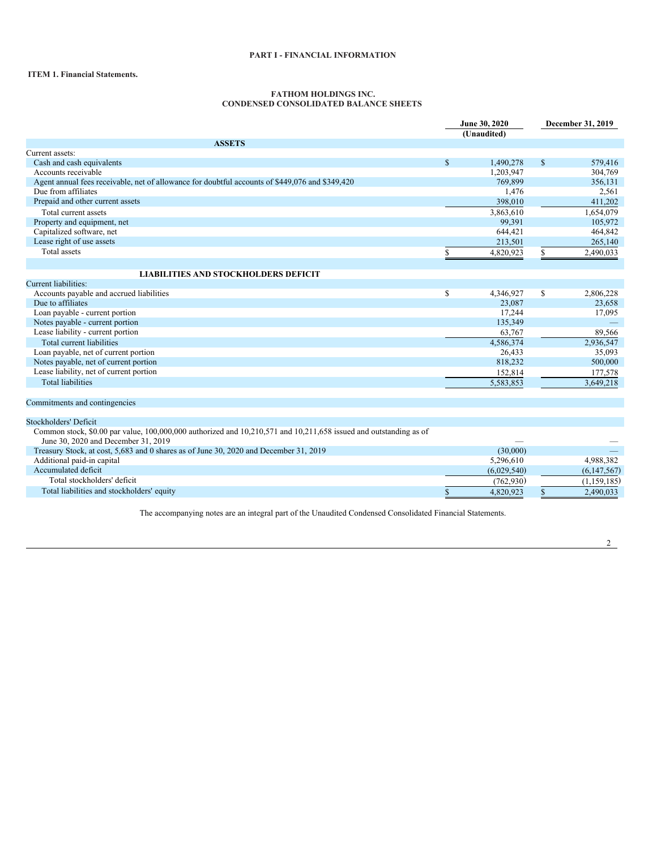# <span id="page-2-2"></span><span id="page-2-0"></span>**PART I - FINANCIAL INFORMATION**

# <span id="page-2-1"></span>**ITEM 1. Financial Statements.**

#### **FATHOM HOLDINGS INC. CONDENSED CONSOLIDATED BALANCE SHEETS**

|                                                                                                                         |             | June 30, 2020<br>(Unaudited) |             | December 31, 2019 |
|-------------------------------------------------------------------------------------------------------------------------|-------------|------------------------------|-------------|-------------------|
| <b>ASSETS</b>                                                                                                           |             |                              |             |                   |
| Current assets:                                                                                                         |             |                              |             |                   |
| Cash and cash equivalents                                                                                               | $\mathbf S$ | 1,490,278                    | $\mathbf S$ | 579,416           |
| Accounts receivable                                                                                                     |             | 1,203,947                    |             | 304,769           |
| Agent annual fees receivable, net of allowance for doubtful accounts of \$449,076 and \$349,420                         |             | 769,899                      |             | 356,131           |
| Due from affiliates                                                                                                     |             | 1,476                        |             | 2,561             |
| Prepaid and other current assets                                                                                        |             | 398,010                      |             | 411,202           |
| Total current assets                                                                                                    |             | 3,863,610                    |             | 1,654,079         |
| Property and equipment, net                                                                                             |             | 99,391                       |             | 105,972           |
| Capitalized software, net                                                                                               |             | 644,421                      |             | 464,842           |
| Lease right of use assets                                                                                               |             | 213,501                      |             | 265,140           |
| <b>Total</b> assets                                                                                                     | \$.         | 4,820,923                    | \$.         | 2,490,033         |
|                                                                                                                         |             |                              |             |                   |
| <b>LIABILITIES AND STOCKHOLDERS DEFICIT</b>                                                                             |             |                              |             |                   |
| Current liabilities:                                                                                                    |             |                              |             |                   |
| Accounts payable and accrued liabilities                                                                                | \$          | 4,346,927                    | $\mathbf S$ | 2,806,228         |
| Due to affiliates                                                                                                       |             | 23,087                       |             | 23,658            |
| Loan payable - current portion                                                                                          |             | 17,244                       |             | 17,095            |
| Notes payable - current portion                                                                                         |             | 135,349                      |             |                   |
| Lease liability - current portion                                                                                       |             | 63.767                       |             | 89.566            |
| Total current liabilities                                                                                               |             | 4,586,374                    |             | 2,936,547         |
| Loan payable, net of current portion                                                                                    |             | 26,433                       |             | 35,093            |
| Notes payable, net of current portion                                                                                   |             | 818,232                      |             | 500,000           |
| Lease liability, net of current portion                                                                                 |             | 152,814                      |             | 177,578           |
| <b>Total liabilities</b>                                                                                                |             | 5,583,853                    |             | 3,649,218         |
|                                                                                                                         |             |                              |             |                   |
| Commitments and contingencies                                                                                           |             |                              |             |                   |
|                                                                                                                         |             |                              |             |                   |
| Stockholders' Deficit                                                                                                   |             |                              |             |                   |
| Common stock, \$0.00 par value, $100,000,000$ authorized and $10,210,571$ and $10,211,658$ issued and outstanding as of |             |                              |             |                   |
| June 30, 2020 and December 31, 2019                                                                                     |             |                              |             |                   |
| Treasury Stock, at cost, 5,683 and 0 shares as of June 30, 2020 and December 31, 2019                                   |             | (30,000)                     |             |                   |
| Additional paid-in capital                                                                                              |             | 5,296,610                    |             | 4,988,382         |
| Accumulated deficit                                                                                                     |             | (6,029,540)                  |             | (6,147,567)       |
| Total stockholders' deficit                                                                                             |             | (762, 930)                   |             | (1,159,185)       |
| Total liabilities and stockholders' equity                                                                              | \$          | 4.820.923                    | \$          | 2.490.033         |

The accompanying notes are an integral part of the Unaudited Condensed Consolidated Financial Statements.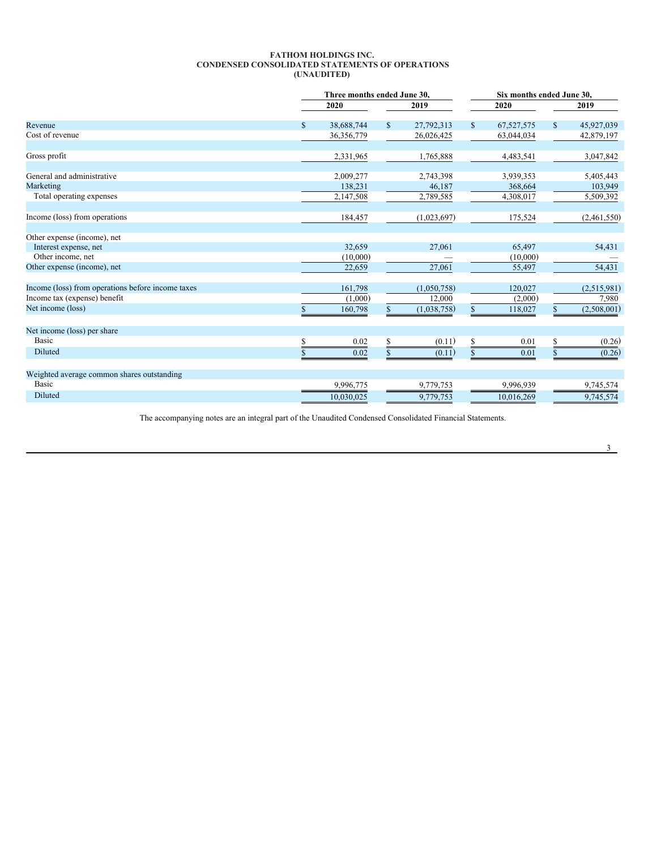## <span id="page-3-0"></span>**FATHOM HOLDINGS INC. CONDENSED CONSOLIDATED STATEMENTS OF OPERATIONS (UNAUDITED)**

|                                                   |               | Three months ended June 30, |              |             |              | Six months ended June 30. |              |             |  |  |
|---------------------------------------------------|---------------|-----------------------------|--------------|-------------|--------------|---------------------------|--------------|-------------|--|--|
|                                                   |               | 2020                        |              | 2019        |              | 2020                      |              | 2019        |  |  |
| Revenue                                           | $\mathcal{S}$ | 38,688,744                  | $\mathbb{S}$ | 27,792,313  | $\mathbb{S}$ | 67,527,575                | $\mathbb{S}$ | 45,927,039  |  |  |
| Cost of revenue                                   |               | 36,356,779                  |              | 26,026,425  |              | 63,044,034                |              | 42,879,197  |  |  |
| Gross profit                                      |               | 2,331,965                   |              | 1,765,888   |              | 4,483,541                 |              | 3,047,842   |  |  |
| General and administrative                        |               | 2,009,277                   |              | 2,743,398   |              | 3,939,353                 |              | 5,405,443   |  |  |
| Marketing                                         |               | 138,231                     |              | 46,187      |              | 368,664                   |              | 103,949     |  |  |
| Total operating expenses                          |               | 2,147,508                   |              | 2,789,585   |              | 4,308,017                 |              | 5,509,392   |  |  |
| Income (loss) from operations                     |               | 184,457                     |              | (1,023,697) |              | 175,524                   |              | (2,461,550) |  |  |
| Other expense (income), net                       |               |                             |              |             |              |                           |              |             |  |  |
| Interest expense, net                             |               | 32,659                      |              | 27,061      |              | 65,497                    |              | 54,431      |  |  |
| Other income, net                                 |               | (10,000)                    |              |             |              | (10,000)                  |              |             |  |  |
| Other expense (income), net                       |               | 22,659                      |              | 27,061      |              | 55,497                    |              | 54,431      |  |  |
| Income (loss) from operations before income taxes |               | 161,798                     |              | (1,050,758) |              | 120,027                   |              | (2,515,981) |  |  |
| Income tax (expense) benefit                      |               | (1,000)                     |              | 12,000      |              | (2,000)                   |              | 7,980       |  |  |
| Net income (loss)                                 |               | 160,798                     | \$           | (1,038,758) | $\mathbb{S}$ | 118,027                   | S            | (2,508,001) |  |  |
| Net income (loss) per share                       |               |                             |              |             |              |                           |              |             |  |  |
| <b>Basic</b>                                      |               | 0.02                        | S            | (0.11)      | \$           | 0.01                      | S            | (0.26)      |  |  |
| Diluted                                           |               | 0.02                        |              | (0.11)      |              | 0.01                      |              | (0.26)      |  |  |
| Weighted average common shares outstanding        |               |                             |              |             |              |                           |              |             |  |  |
| <b>Basic</b>                                      |               | 9,996,775                   |              | 9,779,753   |              | 9,996,939                 |              | 9,745,574   |  |  |
| Diluted                                           |               | 10,030,025                  |              | 9,779,753   |              | 10,016,269                |              | 9,745,574   |  |  |

The accompanying notes are an integral part of the Unaudited Condensed Consolidated Financial Statements.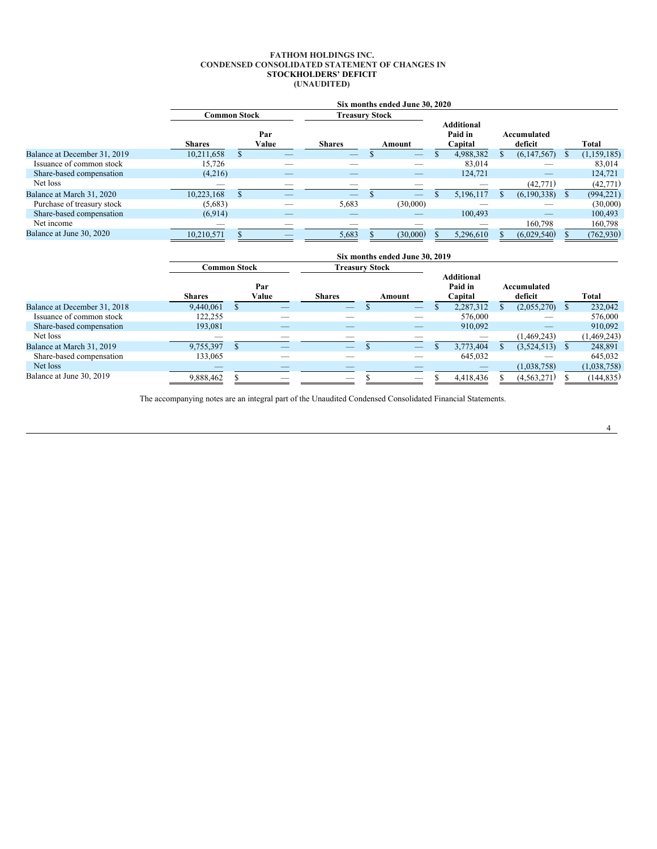#### <span id="page-4-0"></span>**FATHOM HOLDINGS INC. CONDENSED CONSOLIDATED STATEMENT OF CHANGES IN STOCKHOLDERS' DEFICIT (UNAUDITED)**

|                              |                     |              |                       | Six months ended June 30, 2020 |                                         |                        |               |
|------------------------------|---------------------|--------------|-----------------------|--------------------------------|-----------------------------------------|------------------------|---------------|
|                              | <b>Common Stock</b> |              | <b>Treasury Stock</b> |                                |                                         |                        |               |
|                              | <b>Shares</b>       | Par<br>Value | <b>Shares</b>         | Amount                         | <b>Additional</b><br>Paid in<br>Capital | Accumulated<br>deficit | Total         |
| Balance at December 31, 2019 | 10.211.658          |              | $-$                   | _                              | 4,988,382                               | (6,147,567)            | (1, 159, 185) |
| Issuance of common stock     | 15.726              |              |                       |                                | 83.014                                  |                        | 83,014        |
| Share-based compensation     | (4,216)             | __           |                       |                                | 124,721                                 | _                      | 124,721       |
| Net loss                     |                     |              |                       |                                |                                         | (42, 771)              | (42, 771)     |
| Balance at March 31, 2020    | 10,223,168          |              |                       |                                | 5.196.117                               | (6.190.338)            | (994, 221)    |
| Purchase of treasury stock   | (5,683)             |              | 5,683                 | (30,000)                       |                                         | __                     | (30,000)      |
| Share-based compensation     | (6,914)             |              |                       |                                | 100.493                                 | _                      | 100,493       |
| Net income                   | __                  |              |                       |                                |                                         | 160,798                | 160,798       |
| Balance at June 30, 2020     | 10,210,571          |              | 5,683                 | (30,000)                       | 5,296,610                               | (6,029,540)            | (762, 930)    |

|                              |               |       |                          | Six months ended June 30, 2019 |    |                              |               |               |
|------------------------------|---------------|-------|--------------------------|--------------------------------|----|------------------------------|---------------|---------------|
|                              | Common Stock  |       | <b>Treasurv Stock</b>    |                                |    |                              |               |               |
|                              |               | Par   |                          |                                |    | <b>Additional</b><br>Paid in | Accumulated   |               |
|                              | <b>Shares</b> | Value | <b>Shares</b>            | Amount                         |    | Capital                      | deficit       | Total         |
| Balance at December 31, 2018 | 9,440,061     | _     | $\overline{\phantom{a}}$ |                                | ٠D | 2,287,312                    | (2,055,270)   | 232,042       |
| Issuance of common stock     | 122,255       |       |                          | _                              |    | 576,000                      | __            | 576,000       |
| Share-based compensation     | 193,081       |       |                          | _                              |    | 910.092                      |               | 910,092       |
| Net loss                     | _             |       |                          |                                |    | _                            | (1,469,243)   | (1, 469, 243) |
| Balance at March 31, 2019    | 9,755,397     | _     |                          | $\qquad \qquad -$              |    | 3,773,404                    | (3,524,513)   | 248,891       |
| Share-based compensation     | 133,065       |       |                          |                                |    | 645.032                      |               | 645,032       |
| Net loss                     |               |       |                          |                                |    |                              | (1,038,758)   | (1,038,758)   |
| Balance at June 30, 2019     | 9,888,462     |       |                          |                                |    | 4,418,436                    | (4, 563, 271) | (144, 835)    |

The accompanying notes are an integral part of the Unaudited Condensed Consolidated Financial Statements.

4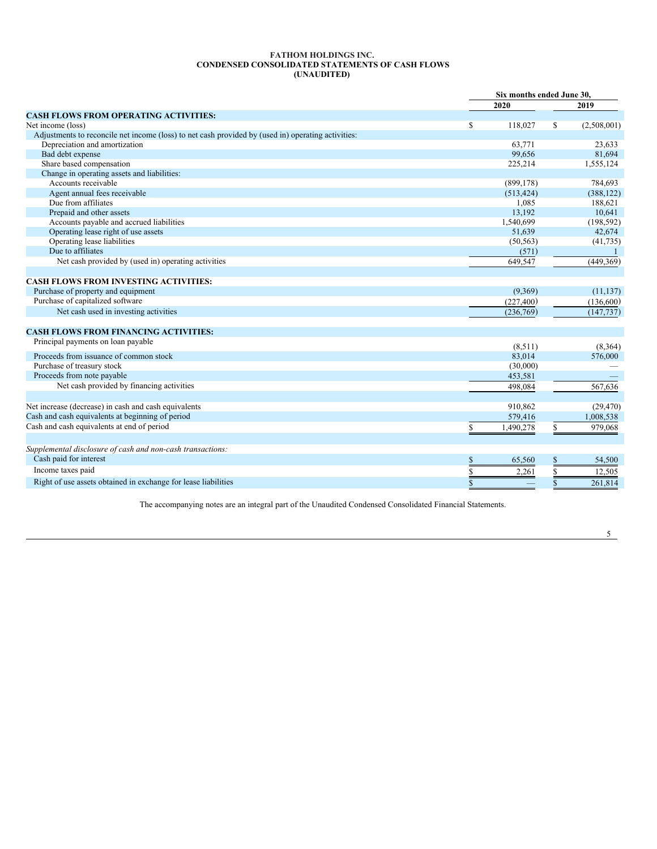# <span id="page-5-0"></span>**FATHOM HOLDINGS INC. CONDENSED CONSOLIDATED STATEMENTS OF CASH FLOWS (UNAUDITED)**

|                                                                                                    | Six months ended June 30. |            |              |             |  |
|----------------------------------------------------------------------------------------------------|---------------------------|------------|--------------|-------------|--|
|                                                                                                    |                           | 2020       |              | 2019        |  |
| <b>CASH FLOWS FROM OPERATING ACTIVITIES:</b>                                                       |                           |            |              |             |  |
| Net income (loss)                                                                                  | \$                        | 118,027    | S            | (2,508,001) |  |
| Adjustments to reconcile net income (loss) to net cash provided by (used in) operating activities: |                           |            |              |             |  |
| Depreciation and amortization                                                                      |                           | 63,771     |              | 23,633      |  |
| Bad debt expense                                                                                   |                           | 99,656     |              | 81,694      |  |
| Share based compensation                                                                           |                           | 225,214    |              | 1,555,124   |  |
| Change in operating assets and liabilities:                                                        |                           |            |              |             |  |
| Accounts receivable                                                                                |                           | (899, 178) |              | 784,693     |  |
| Agent annual fees receivable                                                                       |                           | (513, 424) |              | (388, 122)  |  |
| Due from affiliates                                                                                |                           | 1,085      |              | 188,621     |  |
| Prepaid and other assets                                                                           |                           | 13,192     |              | 10,641      |  |
| Accounts payable and accrued liabilities                                                           |                           | 1,540,699  |              | (198, 592)  |  |
| Operating lease right of use assets                                                                |                           | 51,639     |              | 42,674      |  |
| Operating lease liabilities                                                                        |                           | (50, 563)  |              | (41, 735)   |  |
| Due to affiliates                                                                                  |                           | (571)      |              |             |  |
| Net cash provided by (used in) operating activities                                                |                           | 649,547    |              | (449, 369)  |  |
| <b>CASH FLOWS FROM INVESTING ACTIVITIES:</b>                                                       |                           |            |              |             |  |
| Purchase of property and equipment                                                                 |                           | (9,369)    |              | (11, 137)   |  |
| Purchase of capitalized software                                                                   |                           | (227, 400) |              | (136,600)   |  |
| Net cash used in investing activities                                                              |                           | (236,769)  |              | (147, 737)  |  |
|                                                                                                    |                           |            |              |             |  |
| <b>CASH FLOWS FROM FINANCING ACTIVITIES:</b>                                                       |                           |            |              |             |  |
| Principal payments on loan payable                                                                 |                           | (8,511)    |              | (8,364)     |  |
| Proceeds from issuance of common stock                                                             |                           | 83,014     |              | 576,000     |  |
| Purchase of treasury stock                                                                         |                           | (30,000)   |              |             |  |
| Proceeds from note payable                                                                         |                           | 453,581    |              |             |  |
| Net cash provided by financing activities                                                          |                           | 498,084    |              | 567.636     |  |
|                                                                                                    |                           |            |              |             |  |
| Net increase (decrease) in cash and cash equivalents                                               |                           | 910,862    |              | (29, 470)   |  |
| Cash and cash equivalents at beginning of period                                                   |                           | 579,416    |              | 1,008,538   |  |
| Cash and cash equivalents at end of period                                                         | \$                        | 1,490,278  | S            | 979,068     |  |
|                                                                                                    |                           |            |              |             |  |
| Supplemental disclosure of cash and non-cash transactions:                                         |                           |            |              |             |  |
| Cash paid for interest                                                                             | \$                        | 65,560     | $\mathbb{S}$ | 54,500      |  |
| Income taxes paid                                                                                  | S                         | 2,261      | S            | 12,505      |  |
| Right of use assets obtained in exchange for lease liabilities                                     | \$                        |            | S            | 261,814     |  |
|                                                                                                    |                           |            |              |             |  |

The accompanying notes are an integral part of the Unaudited Condensed Consolidated Financial Statements.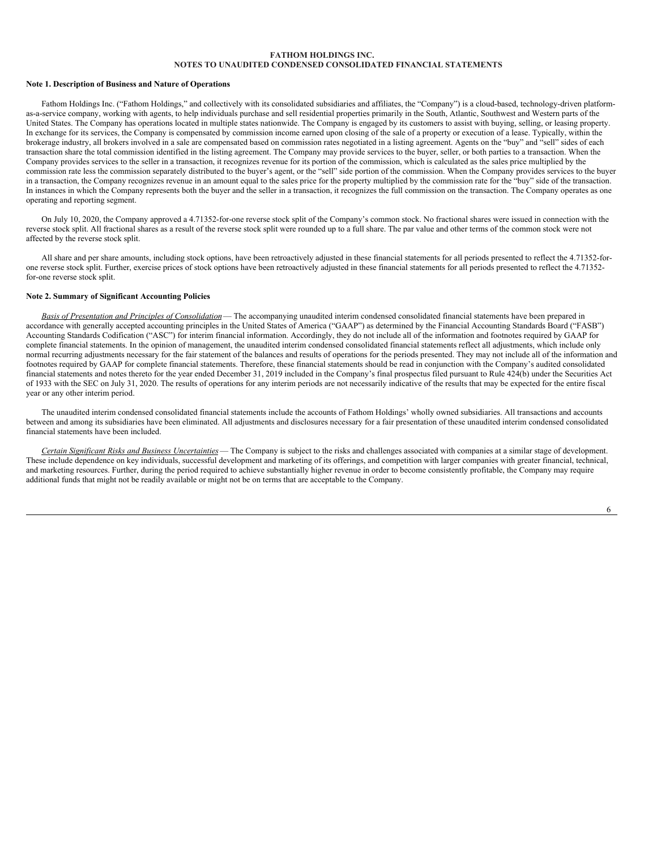# <span id="page-6-0"></span>**FATHOM HOLDINGS INC. NOTES TO UNAUDITED CONDENSED CONSOLIDATED FINANCIAL STATEMENTS**

#### **Note 1. Description of Business and Nature of Operations**

Fathom Holdings Inc. ("Fathom Holdings," and collectively with its consolidated subsidiaries and affiliates, the "Company") is a cloud-based, technology-driven platformas-a-service company, working with agents, to help individuals purchase and sell residential properties primarily in the South, Atlantic, Southwest and Western parts of the United States. The Company has operations located in multiple states nationwide. The Company is engaged by its customers to assist with buying, selling, or leasing property. In exchange for its services, the Company is compensated by commission income earned upon closing of the sale of a property or execution of a lease. Typically, within the brokerage industry, all brokers involved in a sale are compensated based on commission rates negotiated in a listing agreement. Agents on the "buy" and "sell" sides of each transaction share the total commission identified in the listing agreement. The Company may provide services to the buyer, seller, or both parties to a transaction. When the Company provides services to the seller in a transaction, it recognizes revenue for its portion of the commission, which is calculated as the sales price multiplied by the commission rate less the commission separately distributed to the buyer's agent, or the "sell" side portion of the commission. When the Company provides services to the buyer in a transaction, the Company recognizes revenue in an amount equal to the sales price for the property multiplied by the commission rate for the "buy" side of the transaction. In instances in which the Company represents both the buyer and the seller in a transaction, it recognizes the full commission on the transaction. The Company operates as one operating and reporting segment.

On July 10, 2020, the Company approved a 4.71352-for-one reverse stock split of the Company's common stock. No fractional shares were issued in connection with the reverse stock split. All fractional shares as a result of the reverse stock split were rounded up to a full share. The par value and other terms of the common stock were not affected by the reverse stock split.

All share and per share amounts, including stock options, have been retroactively adjusted in these financial statements for all periods presented to reflect the 4.71352-forone reverse stock split. Further, exercise prices of stock options have been retroactively adjusted in these financial statements for all periods presented to reflect the 4.71352 for-one reverse stock split.

# **Note 2. Summary of Significant Accounting Policies**

*Basis of Presentation and Principles of Consolidation*— The accompanying unaudited interim condensed consolidated financial statements have been prepared in accordance with generally accepted accounting principles in the United States of America ("GAAP") as determined by the Financial Accounting Standards Board ("FASB") Accounting Standards Codification ("ASC") for interim financial information. Accordingly, they do not include all of the information and footnotes required by GAAP for complete financial statements. In the opinion of management, the unaudited interim condensed consolidated financial statements reflect all adjustments, which include only normal recurring adjustments necessary for the fair statement of the balances and results of operations for the periods presented. They may not include all of the information and footnotes required by GAAP for complete financial statements. Therefore, these financial statements should be read in conjunction with the Company's audited consolidated financial statements and notes thereto for the year ended December 31, 2019 included in the Company's final prospectus filed pursuant to Rule 424(b) under the Securities Act of 1933 with the SEC on July 31, 2020. The results of operations for any interim periods are not necessarily indicative of the results that may be expected for the entire fiscal year or any other interim period.

The unaudited interim condensed consolidated financial statements include the accounts of Fathom Holdings' wholly owned subsidiaries. All transactions and accounts between and among its subsidiaries have been eliminated. All adjustments and disclosures necessary for a fair presentation of these unaudited interim condensed consolidated financial statements have been included.

*Certain Significant Risks and Business Uncertainties*— The Company is subject to the risks and challenges associated with companies at a similar stage of development. These include dependence on key individuals, successful development and marketing of its offerings, and competition with larger companies with greater financial, technical, and marketing resources. Further, during the period required to achieve substantially higher revenue in order to become consistently profitable, the Company may require additional funds that might not be readily available or might not be on terms that are acceptable to the Company.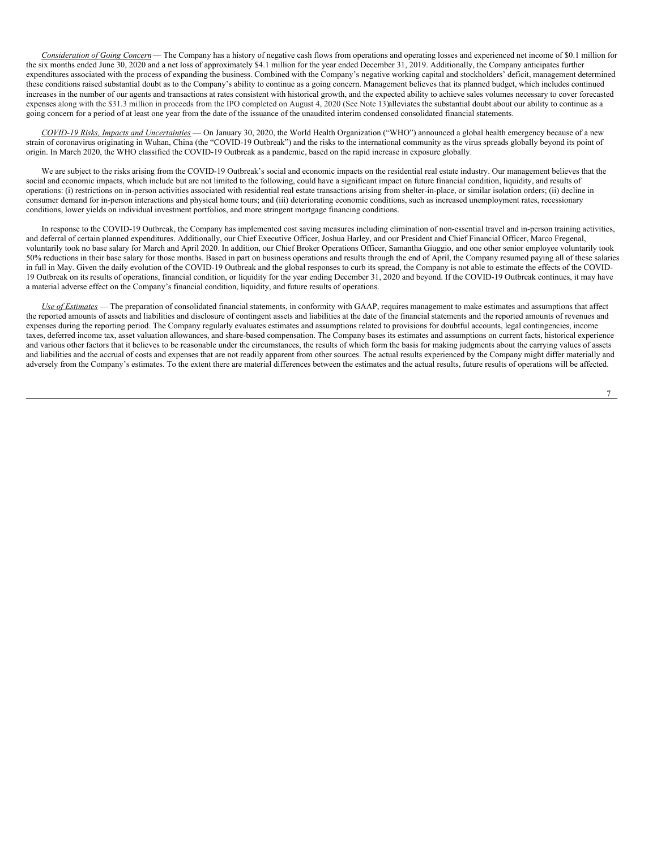*Consideration of Going Concern*— The Company has a history of negative cash flows from operations and operating losses and experienced net income of \$0.1 million for the six months ended June 30, 2020 and a net loss of approximately \$4.1 million for the year ended December 31, 2019. Additionally, the Company anticipates further expenditures associated with the process of expanding the business. Combined with the Company's negative working capital and stockholders' deficit, management determined these conditions raised substantial doubt as to the Company's ability to continue as a going concern. Management believes that its planned budget, which includes continued increases in the number of our agents and transactions at rates consistent with historical growth, and the expected ability to achieve sales volumes necessary to cover forecasted expenses along with the \$31.3 million in proceeds from the IPO completed on August 4, 2020 (See Note 13)alleviates the substantial doubt about our ability to continue as a going concern for a period of at least one year from the date of the issuance of the unaudited interim condensed consolidated financial statements.

*COVID-19 Risks, Impacts and Uncertainties* — On January 30, 2020, the World Health Organization ("WHO") announced a global health emergency because of a new strain of coronavirus originating in Wuhan, China (the "COVID-19 Outbreak") and the risks to the international community as the virus spreads globally beyond its point of origin. In March 2020, the WHO classified the COVID-19 Outbreak as a pandemic, based on the rapid increase in exposure globally.

We are subject to the risks arising from the COVID-19 Outbreak's social and economic impacts on the residential real estate industry. Our management believes that the social and economic impacts, which include but are not limited to the following, could have a significant impact on future financial condition, liquidity, and results of operations: (i) restrictions on in-person activities associated with residential real estate transactions arising from shelter-in-place, or similar isolation orders; (ii) decline in consumer demand for in-person interactions and physical home tours; and (iii) deteriorating economic conditions, such as increased unemployment rates, recessionary conditions, lower yields on individual investment portfolios, and more stringent mortgage financing conditions.

In response to the COVID-19 Outbreak, the Company has implemented cost saving measures including elimination of non-essential travel and in-person training activities, and deferral of certain planned expenditures. Additionally, our Chief Executive Officer, Joshua Harley, and our President and Chief Financial Officer, Marco Fregenal, voluntarily took no base salary for March and April 2020. In addition, our Chief Broker Operations Officer, Samantha Giuggio, and one other senior employee voluntarily took 50% reductions in their base salary for those months. Based in part on business operations and results through the end of April, the Company resumed paying all of these salaries in full in May. Given the daily evolution of the COVID-19 Outbreak and the global responses to curb its spread, the Company is not able to estimate the effects of the COVID-19 Outbreak on its results of operations, financial condition, or liquidity for the year ending December 31, 2020 and beyond. If the COVID-19 Outbreak continues, it may have a material adverse effect on the Company's financial condition, liquidity, and future results of operations.

*Use of Estimates* — The preparation of consolidated financial statements, in conformity with GAAP, requires management to make estimates and assumptions that affect the reported amounts of assets and liabilities and disclosure of contingent assets and liabilities at the date of the financial statements and the reported amounts of revenues and expenses during the reporting period. The Company regularly evaluates estimates and assumptions related to provisions for doubtful accounts, legal contingencies, income taxes, deferred income tax, asset valuation allowances, and share-based compensation. The Company bases its estimates and assumptions on current facts, historical experience and various other factors that it believes to be reasonable under the circumstances, the results of which form the basis for making judgments about the carrying values of assets and liabilities and the accrual of costs and expenses that are not readily apparent from other sources. The actual results experienced by the Company might differ materially and adversely from the Company's estimates. To the extent there are material differences between the estimates and the actual results, future results of operations will be affected.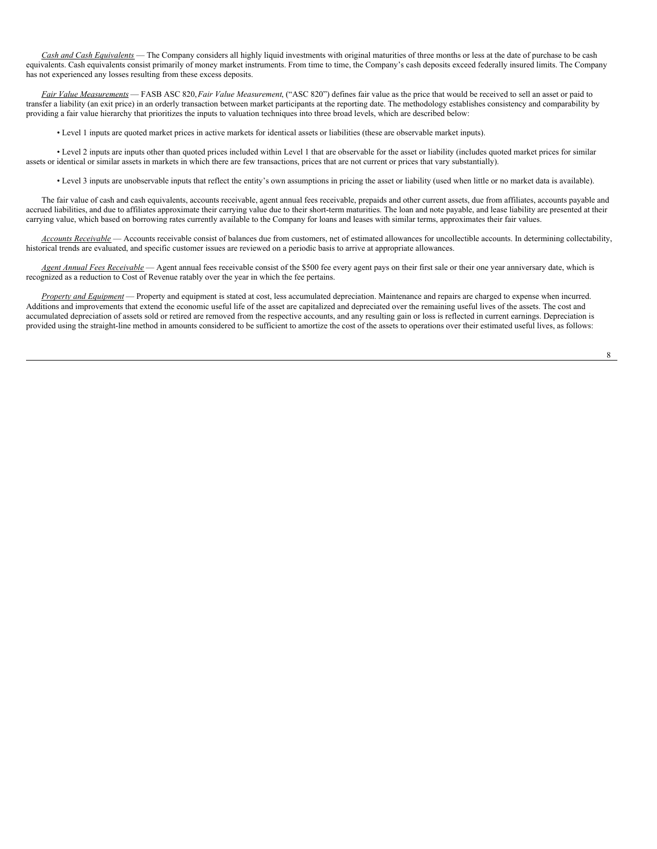*Cash and Cash Equivalents* — The Company considers all highly liquid investments with original maturities of three months or less at the date of purchase to be cash equivalents. Cash equivalents consist primarily of money market instruments. From time to time, the Company's cash deposits exceed federally insured limits. The Company has not experienced any losses resulting from these excess deposits.

*Fair Value Measurements* — FASB ASC 820,*Fair Value Measurement*, ("ASC 820") defines fair value as the price that would be received to sell an asset or paid to transfer a liability (an exit price) in an orderly transaction between market participants at the reporting date. The methodology establishes consistency and comparability by providing a fair value hierarchy that prioritizes the inputs to valuation techniques into three broad levels, which are described below:

• Level 1 inputs are quoted market prices in active markets for identical assets or liabilities (these are observable market inputs).

• Level 2 inputs are inputs other than quoted prices included within Level 1 that are observable for the asset or liability (includes quoted market prices for similar assets or identical or similar assets in markets in which there are few transactions, prices that are not current or prices that vary substantially).

• Level 3 inputs are unobservable inputs that reflect the entity's own assumptions in pricing the asset or liability (used when little or no market data is available).

The fair value of cash and cash equivalents, accounts receivable, agent annual fees receivable, prepaids and other current assets, due from affiliates, accounts payable and accrued liabilities, and due to affiliates approximate their carrying value due to their short-term maturities. The loan and note payable, and lease liability are presented at their carrying value, which based on borrowing rates currently available to the Company for loans and leases with similar terms, approximates their fair values.

*Accounts Receivable* — Accounts receivable consist of balances due from customers, net of estimated allowances for uncollectible accounts. In determining collectability, historical trends are evaluated, and specific customer issues are reviewed on a periodic basis to arrive at appropriate allowances.

*Agent Annual Fees Receivable* — Agent annual fees receivable consist of the \$500 fee every agent pays on their first sale or their one year anniversary date, which is recognized as a reduction to Cost of Revenue ratably over the year in which the fee pertains.

*Property and Equipment* — Property and equipment is stated at cost, less accumulated depreciation. Maintenance and repairs are charged to expense when incurred. Additions and improvements that extend the economic useful life of the asset are capitalized and depreciated over the remaining useful lives of the assets. The cost and accumulated depreciation of assets sold or retired are removed from the respective accounts, and any resulting gain or loss is reflected in current earnings. Depreciation is provided using the straight-line method in amounts considered to be sufficient to amortize the cost of the assets to operations over their estimated useful lives, as follows: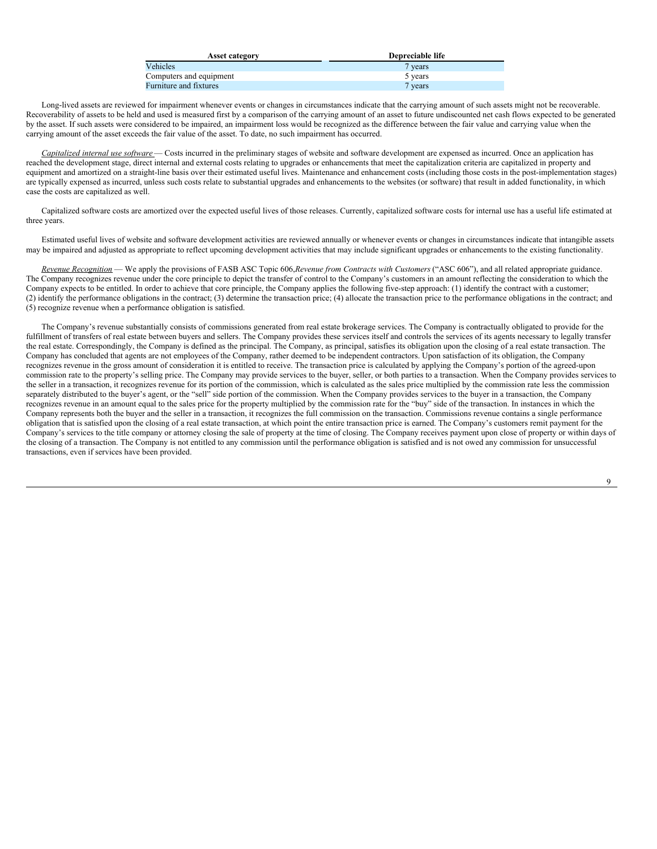| Asset category          | Depreciable life |
|-------------------------|------------------|
| <b>Vehicles</b>         | 7 years          |
| Computers and equipment | 5 years          |
| Furniture and fixtures  | 7 years          |

Long-lived assets are reviewed for impairment whenever events or changes in circumstances indicate that the carrying amount of such assets might not be recoverable. Recoverability of assets to be held and used is measured first by a comparison of the carrying amount of an asset to future undiscounted net cash flows expected to be generated by the asset. If such assets were considered to be impaired, an impairment loss would be recognized as the difference between the fair value and carrying value when the carrying amount of the asset exceeds the fair value of the asset. To date, no such impairment has occurred.

*Capitalized internal use software* — Costs incurred in the preliminary stages of website and software development are expensed as incurred. Once an application has reached the development stage, direct internal and external costs relating to upgrades or enhancements that meet the capitalization criteria are capitalized in property and equipment and amortized on a straight-line basis over their estimated useful lives. Maintenance and enhancement costs (including those costs in the post-implementation stages) are typically expensed as incurred, unless such costs relate to substantial upgrades and enhancements to the websites (or software) that result in added functionality, in which case the costs are capitalized as well.

Capitalized software costs are amortized over the expected useful lives of those releases. Currently, capitalized software costs for internal use has a useful life estimated at three years.

Estimated useful lives of website and software development activities are reviewed annually or whenever events or changes in circumstances indicate that intangible assets may be impaired and adjusted as appropriate to reflect upcoming development activities that may include significant upgrades or enhancements to the existing functionality.

*Revenue Recognition* — We apply the provisions of FASB ASC Topic 606,*Revenue from Contracts with Customers* ("ASC 606"), and all related appropriate guidance. The Company recognizes revenue under the core principle to depict the transfer of control to the Company's customers in an amount reflecting the consideration to which the Company expects to be entitled. In order to achieve that core principle, the Company applies the following five-step approach: (1) identify the contract with a customer; (2) identify the performance obligations in the contract; (3) determine the transaction price; (4) allocate the transaction price to the performance obligations in the contract; and (5) recognize revenue when a performance obligation is satisfied.

The Company's revenue substantially consists of commissions generated from real estate brokerage services. The Company is contractually obligated to provide for the fulfillment of transfers of real estate between buyers and sellers. The Company provides these services itself and controls the services of its agents necessary to legally transfer the real estate. Correspondingly, the Company is defined as the principal. The Company, as principal, satisfies its obligation upon the closing of a real estate transaction. The Company has concluded that agents are not employees of the Company, rather deemed to be independent contractors. Upon satisfaction of its obligation, the Company recognizes revenue in the gross amount of consideration it is entitled to receive. The transaction price is calculated by applying the Company's portion of the agreed-upon commission rate to the property's selling price. The Company may provide services to the buyer, seller, or both parties to a transaction. When the Company provides services to the seller in a transaction, it recognizes revenue for its portion of the commission, which is calculated as the sales price multiplied by the commission rate less the commission separately distributed to the buyer's agent, or the "sell" side portion of the commission. When the Company provides services to the buyer in a transaction, the Company recognizes revenue in an amount equal to the sales price for the property multiplied by the commission rate for the "buy" side of the transaction. In instances in which the Company represents both the buyer and the seller in a transaction, it recognizes the full commission on the transaction. Commissions revenue contains a single performance obligation that is satisfied upon the closing of a real estate transaction, at which point the entire transaction price is earned. The Company's customers remit payment for the Company's services to the title company or attorney closing the sale of property at the time of closing. The Company receives payment upon close of property or within days of the closing of a transaction. The Company is not entitled to any commission until the performance obligation is satisfied and is not owed any commission for unsuccessful transactions, even if services have been provided.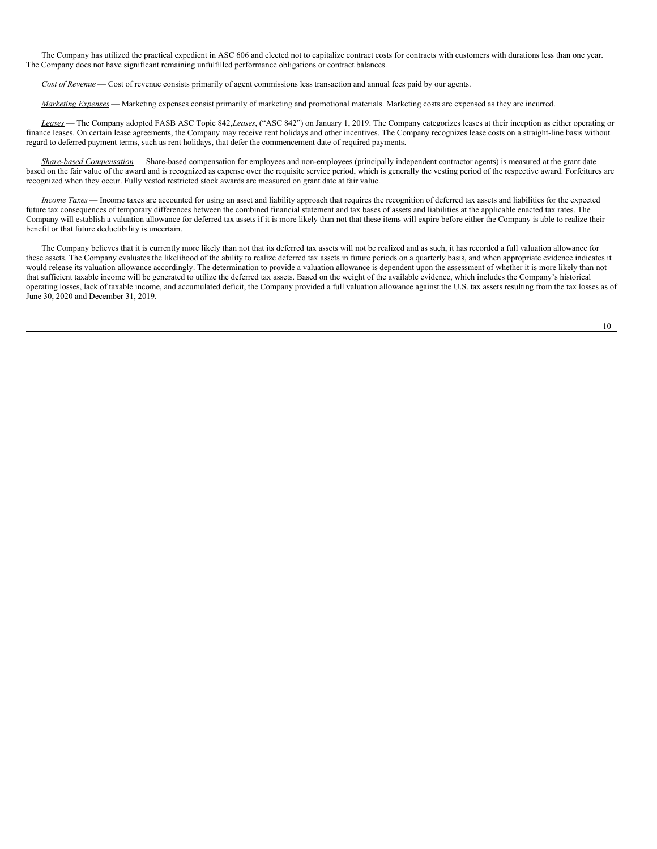The Company has utilized the practical expedient in ASC 606 and elected not to capitalize contract costs for contracts with customers with durations less than one year. The Company does not have significant remaining unfulfilled performance obligations or contract balances.

*Cost of Revenue* — Cost of revenue consists primarily of agent commissions less transaction and annual fees paid by our agents.

*Marketing Expenses* — Marketing expenses consist primarily of marketing and promotional materials. Marketing costs are expensed as they are incurred.

*Leases* — The Company adopted FASB ASC Topic 842,*Leases*, ("ASC 842") on January 1, 2019. The Company categorizes leases at their inception as either operating or finance leases. On certain lease agreements, the Company may receive rent holidays and other incentives. The Company recognizes lease costs on a straight-line basis without regard to deferred payment terms, such as rent holidays, that defer the commencement date of required payments.

*Share-based Compensation* — Share-based compensation for employees and non-employees (principally independent contractor agents) is measured at the grant date based on the fair value of the award and is recognized as expense over the requisite service period, which is generally the vesting period of the respective award. Forfeitures are recognized when they occur. Fully vested restricted stock awards are measured on grant date at fair value.

*Income Taxes* — Income taxes are accounted for using an asset and liability approach that requires the recognition of deferred tax assets and liabilities for the expected future tax consequences of temporary differences between the combined financial statement and tax bases of assets and liabilities at the applicable enacted tax rates. The Company will establish a valuation allowance for deferred tax assets if it is more likely than not that these items will expire before either the Company is able to realize their benefit or that future deductibility is uncertain.

The Company believes that it is currently more likely than not that its deferred tax assets will not be realized and as such, it has recorded a full valuation allowance for these assets. The Company evaluates the likelihood of the ability to realize deferred tax assets in future periods on a quarterly basis, and when appropriate evidence indicates it would release its valuation allowance accordingly. The determination to provide a valuation allowance is dependent upon the assessment of whether it is more likely than not that sufficient taxable income will be generated to utilize the deferred tax assets. Based on the weight of the available evidence, which includes the Company's historical operating losses, lack of taxable income, and accumulated deficit, the Company provided a full valuation allowance against the U.S. tax assets resulting from the tax losses as of June 30, 2020 and December 31, 2019.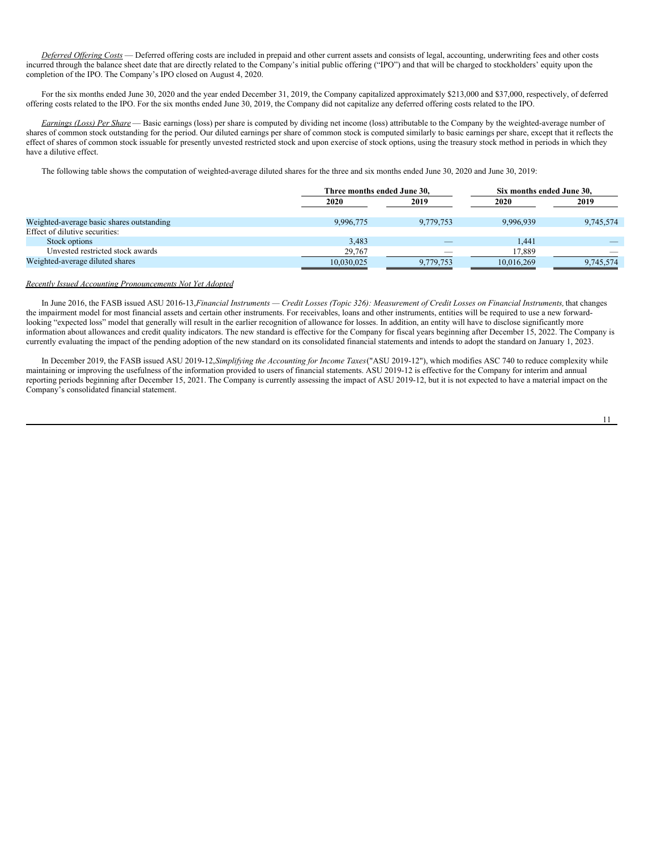*Deferred Of ering Costs* — Deferred offering costs are included in prepaid and other current assets and consists of legal, accounting, underwriting fees and other costs incurred through the balance sheet date that are directly related to the Company's initial public offering ("IPO") and that will be charged to stockholders' equity upon the completion of the IPO. The Company's IPO closed on August 4, 2020.

For the six months ended June 30, 2020 and the year ended December 31, 2019, the Company capitalized approximately \$213,000 and \$37,000, respectively, of deferred offering costs related to the IPO. For the six months ended June 30, 2019, the Company did not capitalize any deferred offering costs related to the IPO.

*Earnings (Loss) Per Share* — Basic earnings (loss) per share is computed by dividing net income (loss) attributable to the Company by the weighted-average number of shares of common stock outstanding for the period. Our diluted earnings per share of common stock is computed similarly to basic earnings per share, except that it reflects the effect of shares of common stock issuable for presently unvested restricted stock and upon exercise of stock options, using the treasury stock method in periods in which they have a dilutive effect.

The following table shows the computation of weighted-average diluted shares for the three and six months ended June 30, 2020 and June 30, 2019:

|                                           | Three months ended June 30. |           | Six months ended June 30. |           |
|-------------------------------------------|-----------------------------|-----------|---------------------------|-----------|
|                                           | 2020<br>2019                |           | 2020                      | 2019      |
| Weighted-average basic shares outstanding | 9,996,775                   | 9,779,753 | 9.996.939                 | 9,745,574 |
| Effect of dilutive securities:            |                             |           |                           |           |
| Stock options                             | 3,483                       |           | 1.441                     |           |
| Unvested restricted stock awards          | 29,767                      |           | 17,889                    |           |
| Weighted-average diluted shares           | 10,030,025                  | 9,779,753 | 10,016,269                | 9,745,574 |

# *Recently Issued Accounting Pronouncements Not Yet Adopted*

In June 2016, the FASB issued ASU 2016-13 Financial Instruments - Credit Losses (Topic 326): Measurement of Credit Losses on Financial Instruments, that changes the impairment model for most financial assets and certain other instruments. For receivables, loans and other instruments, entities will be required to use a new forwardlooking "expected loss" model that generally will result in the earlier recognition of allowance for losses. In addition, an entity will have to disclose significantly more information about allowances and credit quality indicators. The new standard is effective for the Company for fiscal years beginning after December 15, 2022. The Company is currently evaluating the impact of the pending adoption of the new standard on its consolidated financial statements and intends to adopt the standard on January 1, 2023.

In December 2019, the FASB issued ASU 2019-12,*Simplifying the Accounting for Income Taxes*("ASU 2019-12"), which modifies ASC 740 to reduce complexity while maintaining or improving the usefulness of the information provided to users of financial statements. ASU 2019-12 is effective for the Company for interim and annual reporting periods beginning after December 15, 2021. The Company is currently assessing the impact of ASU 2019-12, but it is not expected to have a material impact on the Company's consolidated financial statement.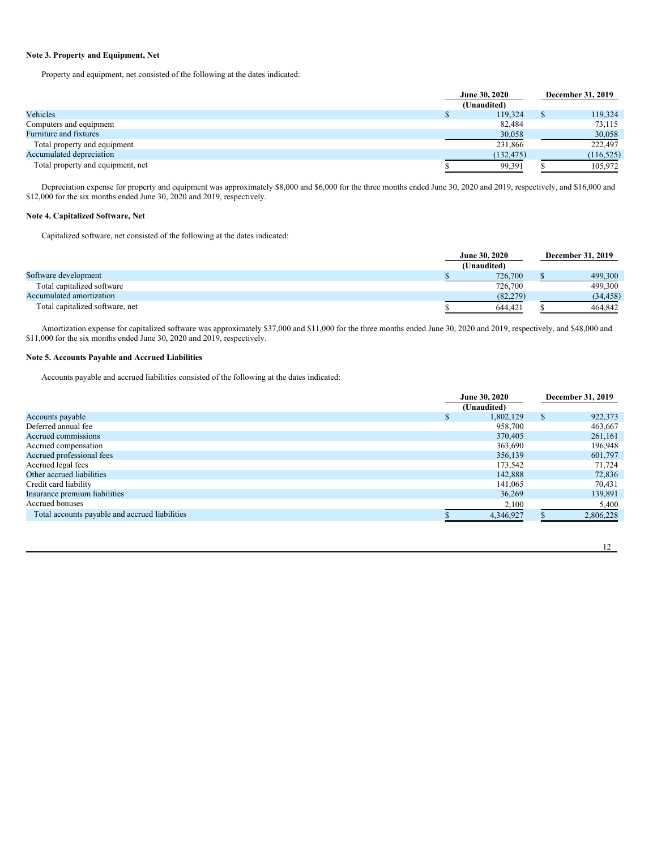# **Note 3. Property and Equipment, Net**

Property and equipment, net consisted of the following at the dates indicated:

|                                   | <b>June 30, 2020</b> | December 31, 2019 |
|-----------------------------------|----------------------|-------------------|
|                                   | (Unaudited)          |                   |
| Vehicles                          | 119.324              | 119,324           |
| Computers and equipment           | 82,484               | 73,115            |
| Furniture and fixtures            | 30,058               | 30,058            |
| Total property and equipment      | 231,866              | 222,497           |
| Accumulated depreciation          | (132, 475)           | (116, 525)        |
| Total property and equipment, net | 99,391               | 105,972           |

Depreciation expense for property and equipment was approximately \$8,000 and \$6,000 for the three months ended June 30, 2020 and 2019, respectively, and \$16,000 and \$12,000 for the six months ended June 30, 2020 and 2019, respectively.

# **Note 4. Capitalized Software, Net**

Capitalized software, net consisted of the following at the dates indicated:

|                                 | <b>June 30, 2020</b> | <b>December 31, 2019</b> |
|---------------------------------|----------------------|--------------------------|
|                                 | (Unaudited)          |                          |
| Software development            | 726,700              | 499,300                  |
| Total capitalized software      | 726,700              | 499.300                  |
| Accumulated amortization        | (82, 279)            | (34.458)                 |
| Total capitalized software, net | 644.421              | 464,842                  |

Amortization expense for capitalized software was approximately \$37,000 and \$11,000 for the three months ended June 30, 2020 and 2019, respectively, and \$48,000 and \$11,000 for the six months ended June 30, 2020 and 2019, respectively.

# **Note 5. Accounts Payable and Accrued Liabilities**

Accounts payable and accrued liabilities consisted of the following at the dates indicated:

|                                                | <b>June 30, 2020</b> |    | December 31, 2019 |
|------------------------------------------------|----------------------|----|-------------------|
|                                                | (Unaudited)          |    |                   |
| Accounts payable                               | 1,802,129            | S. | 922,373           |
| Deferred annual fee                            | 958,700              |    | 463,667           |
| Accrued commissions                            | 370,405              |    | 261,161           |
| Accrued compensation                           | 363,690              |    | 196,948           |
| Accrued professional fees                      | 356,139              |    | 601,797           |
| Accrued legal fees                             | 173,542              |    | 71,724            |
| Other accrued liabilities                      | 142,888              |    | 72,836            |
| Credit card liability                          | 141,065              |    | 70,431            |
| Insurance premium liabilities                  | 36,269               |    | 139,891           |
| Accrued bonuses                                | 2,100                |    | 5,400             |
| Total accounts payable and accrued liabilities | 4,346,927            |    | 2,806,228         |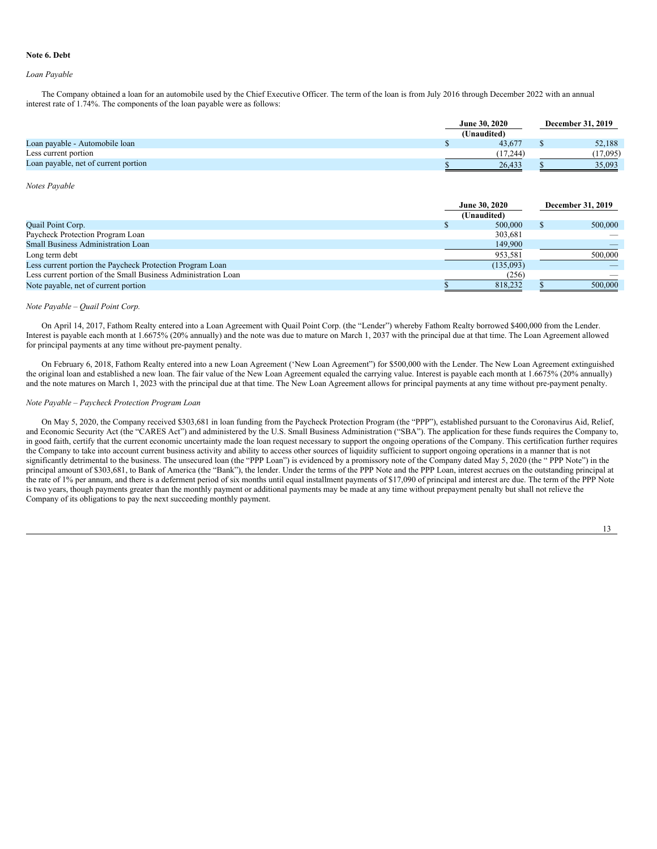# **Note 6. Debt**

## *Loan Payable*

The Company obtained a loan for an automobile used by the Chief Executive Officer. The term of the loan is from July 2016 through December 2022 with an annual interest rate of 1.74%. The components of the loan payable were as follows:

|                                      | <b>June 30, 2020</b> | December 31, 2019 |
|--------------------------------------|----------------------|-------------------|
|                                      | (Unaudited)          |                   |
| Loan payable - Automobile loan       | 43,677               | 52,188            |
| Less current portion                 | (17.244)             | (17.095)          |
| Loan payable, net of current portion | 26.433               | 35.093            |

*Notes Payable*

|                                                                | <b>June 30, 2020</b> |             |  | December 31, 2019 |
|----------------------------------------------------------------|----------------------|-------------|--|-------------------|
|                                                                |                      | (Unaudited) |  |                   |
| <b>Quail Point Corp.</b>                                       |                      | 500,000     |  | 500,000           |
| Paycheck Protection Program Loan                               |                      | 303,681     |  |                   |
| <b>Small Business Administration Loan</b>                      |                      | 149,900     |  |                   |
| Long term debt                                                 |                      | 953.581     |  | 500,000           |
| Less current portion the Paycheck Protection Program Loan      |                      | (135,093)   |  |                   |
| Less current portion of the Small Business Administration Loan |                      | (256)       |  |                   |
| Note payable, net of current portion                           |                      | 818.232     |  | 500,000           |

# *Note Payable – Quail Point Corp.*

On April 14, 2017, Fathom Realty entered into a Loan Agreement with Quail Point Corp. (the "Lender") whereby Fathom Realty borrowed \$400,000 from the Lender. Interest is payable each month at 1.6675% (20% annually) and the note was due to mature on March 1, 2037 with the principal due at that time. The Loan Agreement allowed for principal payments at any time without pre-payment penalty.

On February 6, 2018, Fathom Realty entered into a new Loan Agreement ('New Loan Agreement") for \$500,000 with the Lender. The New Loan Agreement extinguished the original loan and established a new loan. The fair value of the New Loan Agreement equaled the carrying value. Interest is payable each month at 1.6675% (20% annually) and the note matures on March 1, 2023 with the principal due at that time. The New Loan Agreement allows for principal payments at any time without pre-payment penalty.

# *Note Payable – Paycheck Protection Program Loan*

On May 5, 2020, the Company received \$303,681 in loan funding from the Paycheck Protection Program (the "PPP"), established pursuant to the Coronavirus Aid, Relief, and Economic Security Act (the "CARES Act") and administered by the U.S. Small Business Administration ("SBA"). The application for these funds requires the Company to, in good faith, certify that the current economic uncertainty made the loan request necessary to support the ongoing operations of the Company. This certification further requires the Company to take into account current business activity and ability to access other sources of liquidity sufficient to support ongoing operations in a manner that is not significantly detrimental to the business. The unsecured loan (the "PPP Loan") is evidenced by a promissory note of the Company dated May 5, 2020 (the "PPP Note") in the principal amount of \$303,681, to Bank of America (the "Bank"), the lender. Under the terms of the PPP Note and the PPP Loan, interest accrues on the outstanding principal at the rate of 1% per annum, and there is a deferment period of six months until equal installment payments of \$17,090 of principal and interest are due. The term of the PPP Note is two years, though payments greater than the monthly payment or additional payments may be made at any time without prepayment penalty but shall not relieve the Company of its obligations to pay the next succeeding monthly payment.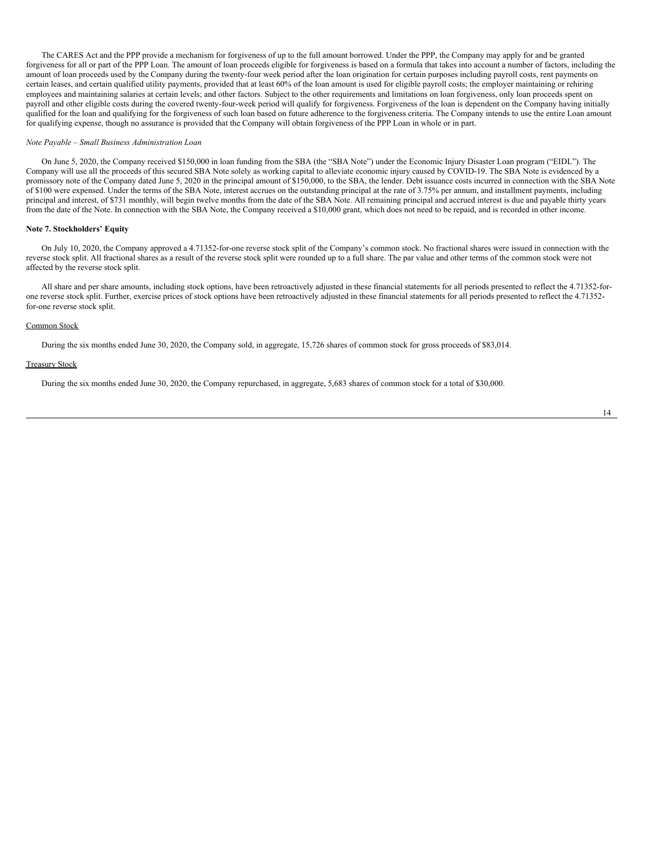The CARES Act and the PPP provide a mechanism for forgiveness of up to the full amount borrowed. Under the PPP, the Company may apply for and be granted forgiveness for all or part of the PPP Loan. The amount of loan proceeds eligible for forgiveness is based on a formula that takes into account a number of factors, including the amount of loan proceeds used by the Company during the twenty-four week period after the loan origination for certain purposes including payroll costs, rent payments on certain leases, and certain qualified utility payments, provided that at least 60% of the loan amount is used for eligible payroll costs; the employer maintaining or rehiring employees and maintaining salaries at certain levels; and other factors. Subject to the other requirements and limitations on loan forgiveness, only loan proceeds spent on payroll and other eligible costs during the covered twenty-four-week period will qualify for forgiveness. Forgiveness of the loan is dependent on the Company having initially qualified for the loan and qualifying for the forgiveness of such loan based on future adherence to the forgiveness criteria. The Company intends to use the entire Loan amount for qualifying expense, though no assurance is provided that the Company will obtain forgiveness of the PPP Loan in whole or in part.

#### *Note Payable – Small Business Administration Loan*

On June 5, 2020, the Company received \$150,000 in loan funding from the SBA (the "SBA Note") under the Economic Injury Disaster Loan program ("EIDL"). The Company will use all the proceeds of this secured SBA Note solely as working capital to alleviate economic injury caused by COVID-19. The SBA Note is evidenced by a promissory note of the Company dated June 5, 2020 in the principal amount of \$150,000, to the SBA, the lender. Debt issuance costs incurred in connection with the SBA Note of \$100 were expensed. Under the terms of the SBA Note, interest accrues on the outstanding principal at the rate of 3.75% per annum, and installment payments, including principal and interest, of \$731 monthly, will begin twelve months from the date of the SBA Note. All remaining principal and accrued interest is due and payable thirty years from the date of the Note. In connection with the SBA Note, the Company received a \$10,000 grant, which does not need to be repaid, and is recorded in other income.

## **Note 7. Stockholders' Equity**

On July 10, 2020, the Company approved a 4.71352-for-one reverse stock split of the Company's common stock. No fractional shares were issued in connection with the reverse stock split. All fractional shares as a result of the reverse stock split were rounded up to a full share. The par value and other terms of the common stock were not affected by the reverse stock split.

All share and per share amounts, including stock options, have been retroactively adjusted in these financial statements for all periods presented to reflect the 4.71352-forone reverse stock split. Further, exercise prices of stock options have been retroactively adjusted in these financial statements for all periods presented to reflect the 4.71352 for-one reverse stock split.

# Common Stock

During the six months ended June 30, 2020, the Company sold, in aggregate, 15,726 shares of common stock for gross proceeds of \$83,014.

#### Treasury Stock

During the six months ended June 30, 2020, the Company repurchased, in aggregate, 5,683 shares of common stock for a total of \$30,000.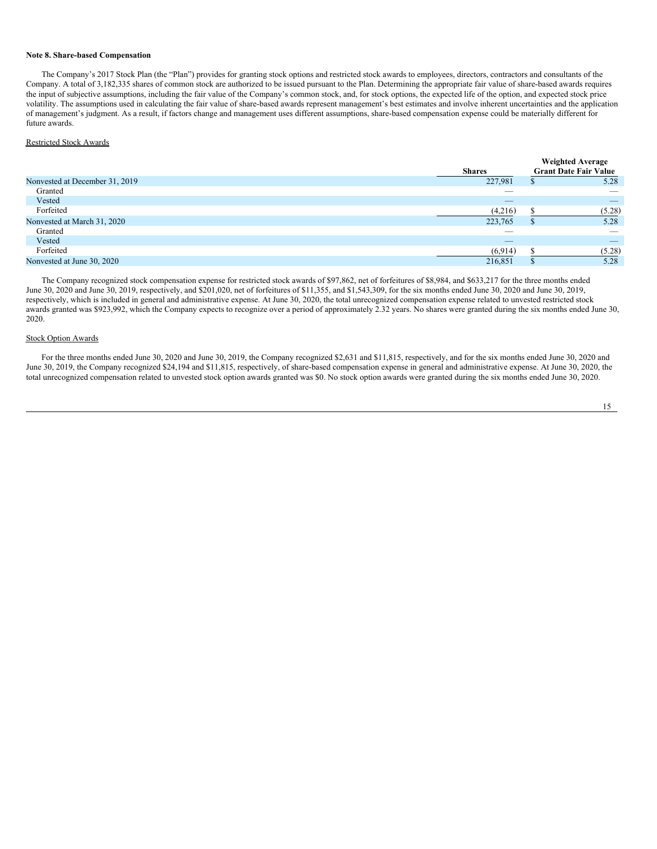#### **Note 8. Share-based Compensation**

The Company's 2017 Stock Plan (the "Plan") provides for granting stock options and restricted stock awards to employees, directors, contractors and consultants of the Company. A total of 3,182,335 shares of common stock are authorized to be issued pursuant to the Plan. Determining the appropriate fair value of share-based awards requires the input of subjective assumptions, including the fair value of the Company's common stock, and, for stock options, the expected life of the option, and expected stock price volatility. The assumptions used in calculating the fair value of share-based awards represent management's best estimates and involve inherent uncertainties and the application of management's judgment. As a result, if factors change and management uses different assumptions, share-based compensation expense could be materially different for future awards.

# Restricted Stock Awards

|                                |                                 |    | <b>Weighted Average</b>         |
|--------------------------------|---------------------------------|----|---------------------------------|
|                                | <b>Shares</b>                   |    | <b>Grant Date Fair Value</b>    |
| Nonvested at December 31, 2019 | 227,981                         | ٠D | 5.28                            |
| Granted                        | $\overline{\phantom{a}}$        |    |                                 |
| Vested                         | $\qquad \qquad - \qquad$        |    | $\qquad \qquad - \qquad$        |
| Forfeited                      | (4,216)                         | ¢  | (5.28)                          |
| Nonvested at March 31, 2020    | 223,765                         | ٠D | 5.28                            |
| Granted                        | $\hspace{0.1mm}-\hspace{0.1mm}$ |    | $\hspace{0.1mm}-\hspace{0.1mm}$ |
| Vested                         | $\qquad \qquad - \qquad$        |    | _                               |
| Forfeited                      | (6.914)                         |    | (5.28)                          |
| Nonvested at June 30, 2020     | 216,851                         |    | 5.28                            |

The Company recognized stock compensation expense for restricted stock awards of \$97,862, net of forfeitures of \$8,984, and \$633,217 for the three months ended June 30, 2020 and June 30, 2019, respectively, and \$201,020, net of forfeitures of \$11,355, and \$1,543,309, for the six months ended June 30, 2020 and June 30, 2019, respectively, which is included in general and administrative expense. At June 30, 2020, the total unrecognized compensation expense related to unvested restricted stock awards granted was \$923,992, which the Company expects to recognize over a period of approximately 2.32 years. No shares were granted during the six months ended June 30, 2020.

#### Stock Option Awards

For the three months ended June 30, 2020 and June 30, 2019, the Company recognized \$2,631 and \$11,815, respectively, and for the six months ended June 30, 2020 and June 30, 2019, the Company recognized \$24,194 and \$11,815, respectively, of share-based compensation expense in general and administrative expense. At June 30, 2020, the total unrecognized compensation related to unvested stock option awards granted was \$0. No stock option awards were granted during the six months ended June 30, 2020.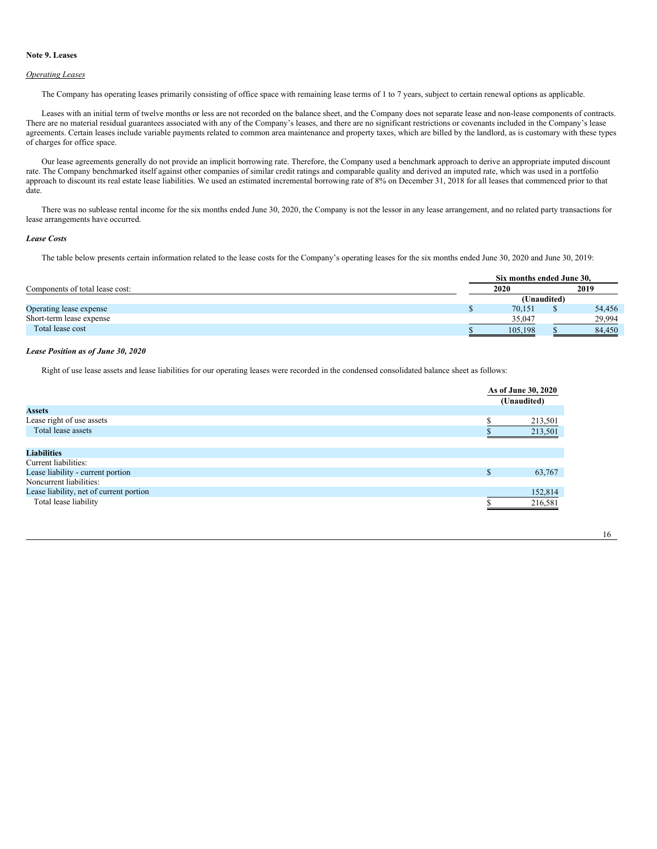# **Note 9. Leases**

# *Operating Leases*

The Company has operating leases primarily consisting of office space with remaining lease terms of 1 to 7 years, subject to certain renewal options as applicable.

Leases with an initial term of twelve months or less are not recorded on the balance sheet, and the Company does not separate lease and non-lease components of contracts. There are no material residual guarantees associated with any of the Company's leases, and there are no significant restrictions or covenants included in the Company's lease agreements. Certain leases include variable payments related to common area maintenance and property taxes, which are billed by the landlord, as is customary with these types of charges for office space.

Our lease agreements generally do not provide an implicit borrowing rate. Therefore, the Company used a benchmark approach to derive an appropriate imputed discount rate. The Company benchmarked itself against other companies of similar credit ratings and comparable quality and derived an imputed rate, which was used in a portfolio approach to discount its real estate lease liabilities. We used an estimated incremental borrowing rate of 8% on December 31, 2018 for all leases that commenced prior to that date.

There was no sublease rental income for the six months ended June 30, 2020, the Company is not the lessor in any lease arrangement, and no related party transactions for lease arrangements have occurred.

# *Lease Costs*

The table below presents certain information related to the lease costs for the Company's operating leases for the six months ended June 30, 2020 and June 30, 2019:

|                                 | Six months ended June 30. |             |        |
|---------------------------------|---------------------------|-------------|--------|
| Components of total lease cost: | 2020                      |             | 2019   |
|                                 |                           | (Unaudited) |        |
| Operating lease expense         | 70,151                    |             | 54,456 |
| Short-term lease expense        | 35,047                    |             | 29,994 |
| Total lease cost                | 105.198                   |             | 84,450 |

# *Lease Position as of June 30, 2020*

Right of use lease assets and lease liabilities for our operating leases were recorded in the condensed consolidated balance sheet as follows:

|                                         | As of June 30, 2020<br>(Unaudited) |         |
|-----------------------------------------|------------------------------------|---------|
| <b>Assets</b>                           |                                    |         |
| Lease right of use assets               |                                    | 213,501 |
| Total lease assets                      |                                    | 213,501 |
|                                         |                                    |         |
| <b>Liabilities</b>                      |                                    |         |
| Current liabilities:                    |                                    |         |
| Lease liability - current portion       | S.                                 | 63,767  |
| Noncurrent liabilities:                 |                                    |         |
| Lease liability, net of current portion |                                    | 152,814 |
| Total lease liability                   |                                    | 216,581 |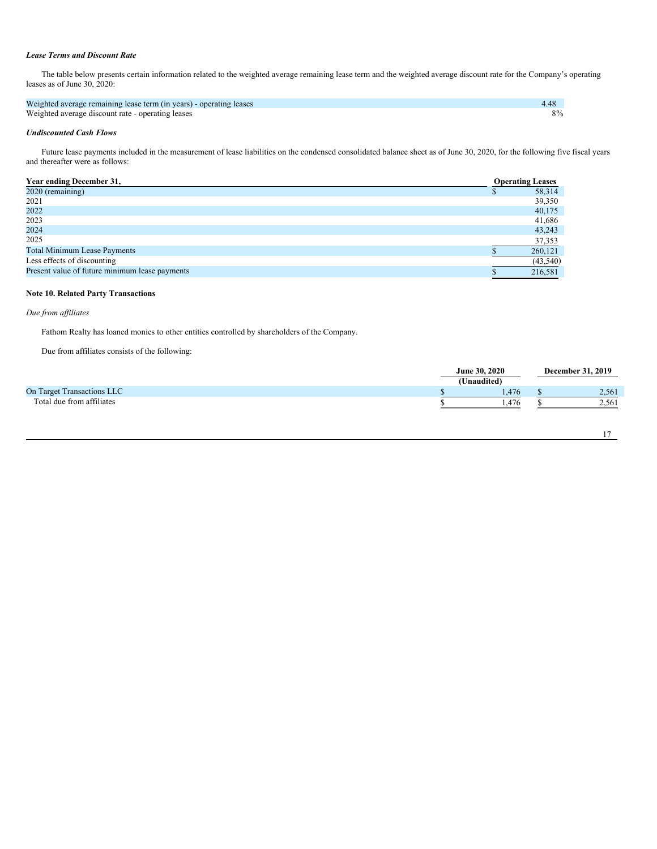# *Lease Terms and Discount Rate*

The table below presents certain information related to the weighted average remaining lease term and the weighted average discount rate for the Company's operating leases as of June 30, 2020:

| Weighted average remaining lease term (in years) - operating leases | 4.48  |
|---------------------------------------------------------------------|-------|
| Weighted average discount rate - operating leases                   | $8\%$ |

# *Undiscounted Cash Flows*

Future lease payments included in the measurement of lease liabilities on the condensed consolidated balance sheet as of June 30, 2020, for the following five fiscal years and thereafter were as follows:

# **Year ending December 31, Operating Leases**

| Tear chung December 51,                        | Operating Leases |          |
|------------------------------------------------|------------------|----------|
| 2020 (remaining)                               |                  | 58,314   |
| 2021                                           |                  | 39,350   |
| 2022                                           |                  | 40,175   |
| 2023                                           |                  | 41,686   |
| 2024                                           |                  | 43,243   |
| 2025                                           |                  | 37,353   |
| <b>Total Minimum Lease Payments</b>            |                  | 260,121  |
| Less effects of discounting                    |                  | (43,540) |
| Present value of future minimum lease payments |                  | 216,581  |
|                                                |                  |          |

# **Note 10. Related Party Transactions**

# *Due from af iliates*

Fathom Realty has loaned monies to other entities controlled by shareholders of the Company.

Due from affiliates consists of the following:

|                            | June 30, 2020 | <b>December 31, 2019</b> |
|----------------------------|---------------|--------------------------|
|                            | (Unaudited)   |                          |
| On Target Transactions LLC | .476          | 2.561                    |
| Total due from affiliates  | .476          | 2.561                    |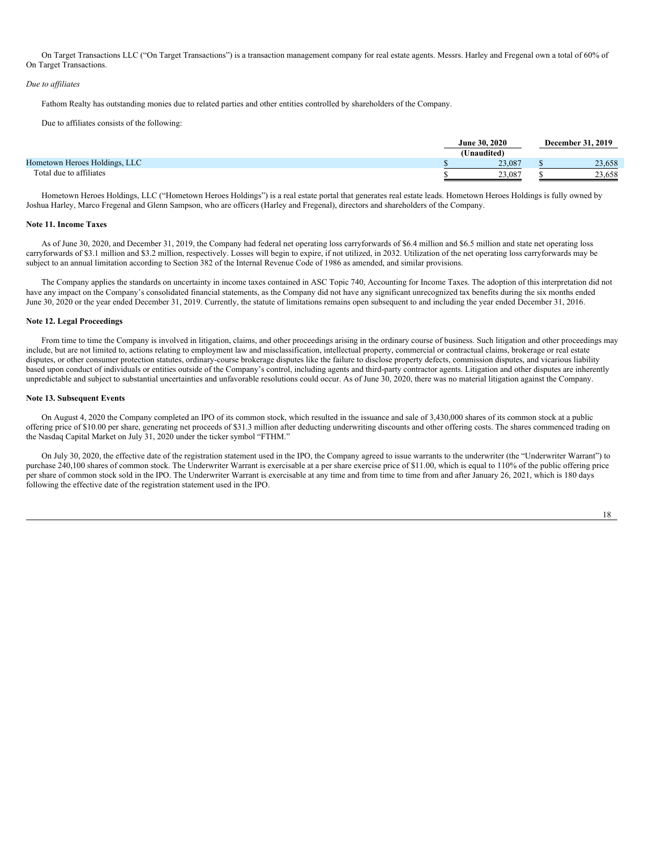On Target Transactions LLC ("On Target Transactions") is a transaction management company for real estate agents. Messrs. Harley and Fregenal own a total of 60% of On Target Transactions.

#### *Due to af iliates*

Fathom Realty has outstanding monies due to related parties and other entities controlled by shareholders of the Company.

Due to affiliates consists of the following:

|                               | <b>June 30, 2020</b> | <b>December 31, 2019</b> |        |  |
|-------------------------------|----------------------|--------------------------|--------|--|
|                               | (Unaudited)          |                          |        |  |
| Hometown Heroes Holdings, LLC | 23,087               |                          | 23.658 |  |
| Total due to affiliates       | 23,087               |                          | 23.658 |  |

Hometown Heroes Holdings, LLC ("Hometown Heroes Holdings") is a real estate portal that generates real estate leads. Hometown Heroes Holdings is fully owned by Joshua Harley, Marco Fregenal and Glenn Sampson, who are officers (Harley and Fregenal), directors and shareholders of the Company.

#### **Note 11. Income Taxes**

As of June 30, 2020, and December 31, 2019, the Company had federal net operating loss carryforwards of \$6.4 million and \$6.5 million and state net operating loss carryforwards of \$3.1 million and \$3.2 million, respectively. Losses will begin to expire, if not utilized, in 2032. Utilization of the net operating loss carryforwards may be subject to an annual limitation according to Section 382 of the Internal Revenue Code of 1986 as amended, and similar provisions.

The Company applies the standards on uncertainty in income taxes contained in ASC Topic 740, Accounting for Income Taxes. The adoption of this interpretation did not have any impact on the Company's consolidated financial statements, as the Company did not have any significant unrecognized tax benefits during the six months ended June 30, 2020 or the year ended December 31, 2019. Currently, the statute of limitations remains open subsequent to and including the year ended December 31, 2016.

#### **Note 12. Legal Proceedings**

From time to time the Company is involved in litigation, claims, and other proceedings arising in the ordinary course of business. Such litigation and other proceedings may include, but are not limited to, actions relating to employment law and misclassification, intellectual property, commercial or contractual claims, brokerage or real estate disputes, or other consumer protection statutes, ordinary-course brokerage disputes like the failure to disclose property defects, commission disputes, and vicarious liability based upon conduct of individuals or entities outside of the Company's control, including agents and third-party contractor agents. Litigation and other disputes are inherently unpredictable and subject to substantial uncertainties and unfavorable resolutions could occur. As of June 30, 2020, there was no material litigation against the Company.

#### **Note 13. Subsequent Events**

On August 4, 2020 the Company completed an IPO of its common stock, which resulted in the issuance and sale of 3,430,000 shares of its common stock at a public offering price of \$10.00 per share, generating net proceeds of \$31.3 million after deducting underwriting discounts and other offering costs. The shares commenced trading on the Nasdaq Capital Market on July 31, 2020 under the ticker symbol "FTHM."

On July 30, 2020, the effective date of the registration statement used in the IPO, the Company agreed to issue warrants to the underwriter (the "Underwriter Warrant") to purchase 240,100 shares of common stock. The Underwriter Warrant is exercisable at a per share exercise price of \$11.00, which is equal to 110% of the public offering price per share of common stock sold in the IPO. The Underwriter Warrant is exercisable at any time and from time to time from and after January 26, 2021, which is 180 days following the effective date of the registration statement used in the IPO.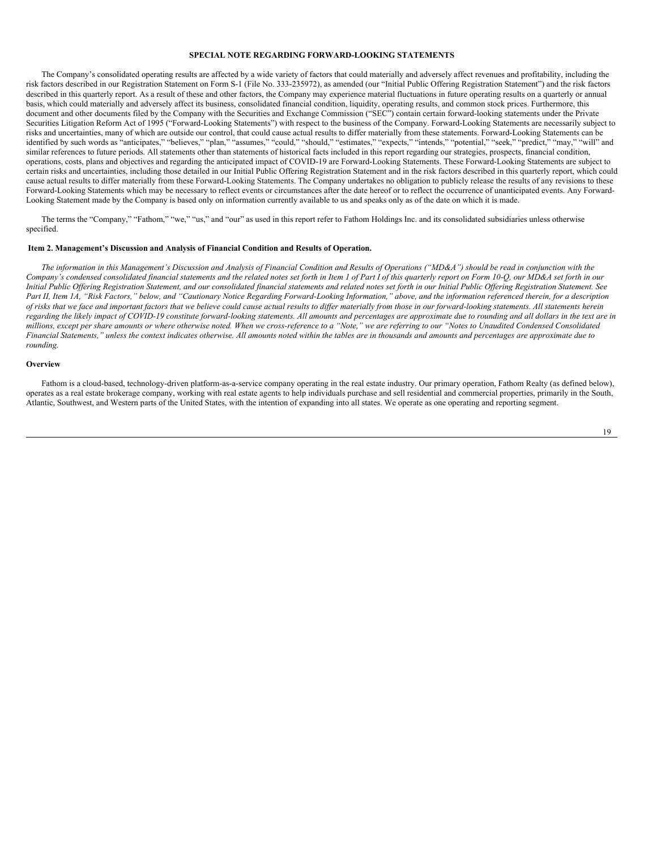#### **SPECIAL NOTE REGARDING FORWARD-LOOKING STATEMENTS**

The Company's consolidated operating results are affected by a wide variety of factors that could materially and adversely affect revenues and profitability, including the risk factors described in our Registration Statement on Form S-1 (File No. 333-235972), as amended (our "Initial Public Offering Registration Statement") and the risk factors described in this quarterly report. As a result of these and other factors, the Company may experience material fluctuations in future operating results on a quarterly or annual basis, which could materially and adversely affect its business, consolidated financial condition, liquidity, operating results, and common stock prices. Furthermore, this document and other documents filed by the Company with the Securities and Exchange Commission ("SEC") contain certain forward-looking statements under the Private Securities Litigation Reform Act of 1995 ("Forward-Looking Statements") with respect to the business of the Company. Forward-Looking Statements are necessarily subject to risks and uncertainties, many of which are outside our control, that could cause actual results to differ materially from these statements. Forward-Looking Statements can be identified by such words as "anticipates," "believes," "plan," "assumes," "could," "should," "estimates," "expects," "intends," "potential," "seek," "predict," "may," "will" and similar references to future periods. All statements other than statements of historical facts included in this report regarding our strategies, prospects, financial condition, operations, costs, plans and objectives and regarding the anticipated impact of COVID-19 are Forward-Looking Statements. These Forward-Looking Statements are subject to certain risks and uncertainties, including those detailed in our Initial Public Offering Registration Statement and in the risk factors described in this quarterly report, which could cause actual results to differ materially from these Forward-Looking Statements. The Company undertakes no obligation to publicly release the results of any revisions to these Forward-Looking Statements which may be necessary to reflect events or circumstances after the date hereof or to reflect the occurrence of unanticipated events. Any Forward-Looking Statement made by the Company is based only on information currently available to us and speaks only as of the date on which it is made.

The terms the "Company," "Fathom," "we," "us," and "our" as used in this report refer to Fathom Holdings Inc. and its consolidated subsidiaries unless otherwise specified.

#### <span id="page-19-0"></span>**Item 2. Management's Discussion and Analysis of Financial Condition and Results of Operation.**

The information in this Management's Discussion and Analysis of Financial Condition and Results of Operations ("MD&A") should be read in conjunction with the Company's condensed consolidated financial statements and the related notes set forth in Item 1 of Part I of this quarterly report on Form 10-Q, our MD&A set forth in our Initial Public Offering Registration Statement, and our consolidated financial statements and related notes set forth in our Initial Public Offering Registration Statement. See Part II, Item 1A, "Risk Factors," below, and "Cautionary Notice Regarding Forward-Looking Information," above, and the information referenced therein, for a description of risks that we face and important factors that we believe could cause actual results to differ materially from those in our forward-looking statements. All statements herein regarding the likely impact of COVID-19 constitute forward-looking statements. All amounts and percentages are approximate due to rounding and all dollars in the text are in millions, except per share amounts or where otherwise noted. When we cross-reference to a "Note," we are referring to our "Notes to Unaudited Condensed Consolidated Financial Statements," unless the context indicates otherwise. All amounts noted within the tables are in thousands and amounts and percentages are approximate due to *rounding.*

#### **Overview**

Fathom is a cloud-based, technology-driven platform-as-a-service company operating in the real estate industry. Our primary operation, Fathom Realty (as defined below), operates as a real estate brokerage company, working with real estate agents to help individuals purchase and sell residential and commercial properties, primarily in the South, Atlantic, Southwest, and Western parts of the United States, with the intention of expanding into all states. We operate as one operating and reporting segment.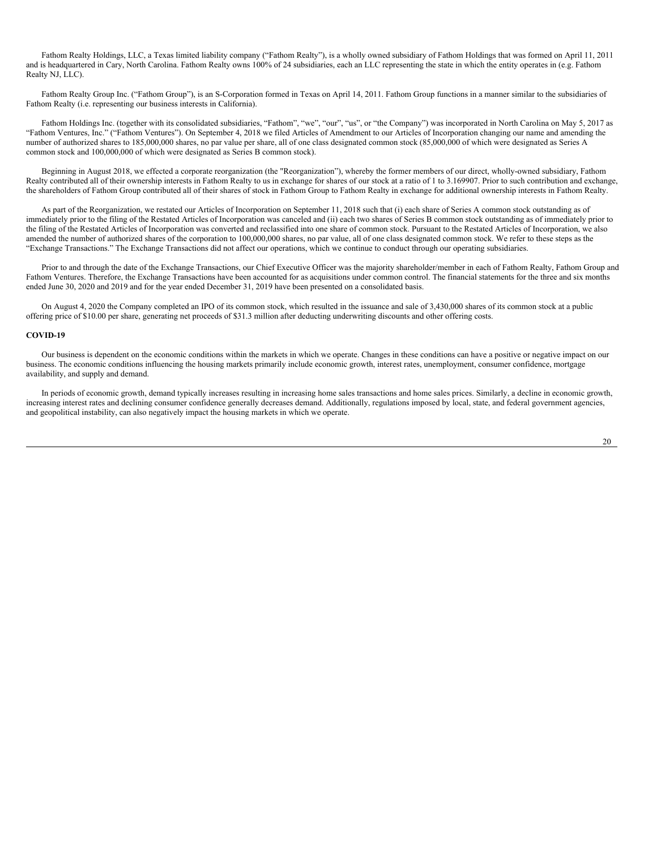Fathom Realty Holdings, LLC, a Texas limited liability company ("Fathom Realty"), is a wholly owned subsidiary of Fathom Holdings that was formed on April 11, 2011 and is headquartered in Cary, North Carolina. Fathom Realty owns 100% of 24 subsidiaries, each an LLC representing the state in which the entity operates in (e.g. Fathom Realty NJ, LLC).

Fathom Realty Group Inc. ("Fathom Group"), is an S-Corporation formed in Texas on April 14, 2011. Fathom Group functions in a manner similar to the subsidiaries of Fathom Realty (i.e. representing our business interests in California).

Fathom Holdings Inc. (together with its consolidated subsidiaries, "Fathom", "we", "our", "us", or "the Company") was incorporated in North Carolina on May 5, 2017 as "Fathom Ventures, Inc." ("Fathom Ventures"). On September 4, 2018 we filed Articles of Amendment to our Articles of Incorporation changing our name and amending the number of authorized shares to 185,000,000 shares, no par value per share, all of one class designated common stock (85,000,000 of which were designated as Series A common stock and 100,000,000 of which were designated as Series B common stock).

Beginning in August 2018, we effected a corporate reorganization (the "Reorganization"), whereby the former members of our direct, wholly-owned subsidiary, Fathom Realty contributed all of their ownership interests in Fathom Realty to us in exchange for shares of our stock at a ratio of 1 to 3.169907. Prior to such contribution and exchange, the shareholders of Fathom Group contributed all of their shares of stock in Fathom Group to Fathom Realty in exchange for additional ownership interests in Fathom Realty.

As part of the Reorganization, we restated our Articles of Incorporation on September 11, 2018 such that (i) each share of Series A common stock outstanding as of immediately prior to the filing of the Restated Articles of Incorporation was canceled and (ii) each two shares of Series B common stock outstanding as of immediately prior to the filing of the Restated Articles of Incorporation was converted and reclassified into one share of common stock. Pursuant to the Restated Articles of Incorporation, we also amended the number of authorized shares of the corporation to 100,000,000 shares, no par value, all of one class designated common stock. We refer to these steps as the "Exchange Transactions." The Exchange Transactions did not affect our operations, which we continue to conduct through our operating subsidiaries.

Prior to and through the date of the Exchange Transactions, our Chief Executive Officer was the majority shareholder/member in each of Fathom Realty, Fathom Group and Fathom Ventures. Therefore, the Exchange Transactions have been accounted for as acquisitions under common control. The financial statements for the three and six months ended June 30, 2020 and 2019 and for the year ended December 31, 2019 have been presented on a consolidated basis.

On August 4, 2020 the Company completed an IPO of its common stock, which resulted in the issuance and sale of 3,430,000 shares of its common stock at a public offering price of \$10.00 per share, generating net proceeds of \$31.3 million after deducting underwriting discounts and other offering costs.

# **COVID-19**

Our business is dependent on the economic conditions within the markets in which we operate. Changes in these conditions can have a positive or negative impact on our business. The economic conditions influencing the housing markets primarily include economic growth, interest rates, unemployment, consumer confidence, mortgage availability, and supply and demand.

In periods of economic growth, demand typically increases resulting in increasing home sales transactions and home sales prices. Similarly, a decline in economic growth, increasing interest rates and declining consumer confidence generally decreases demand. Additionally, regulations imposed by local, state, and federal government agencies, and geopolitical instability, can also negatively impact the housing markets in which we operate.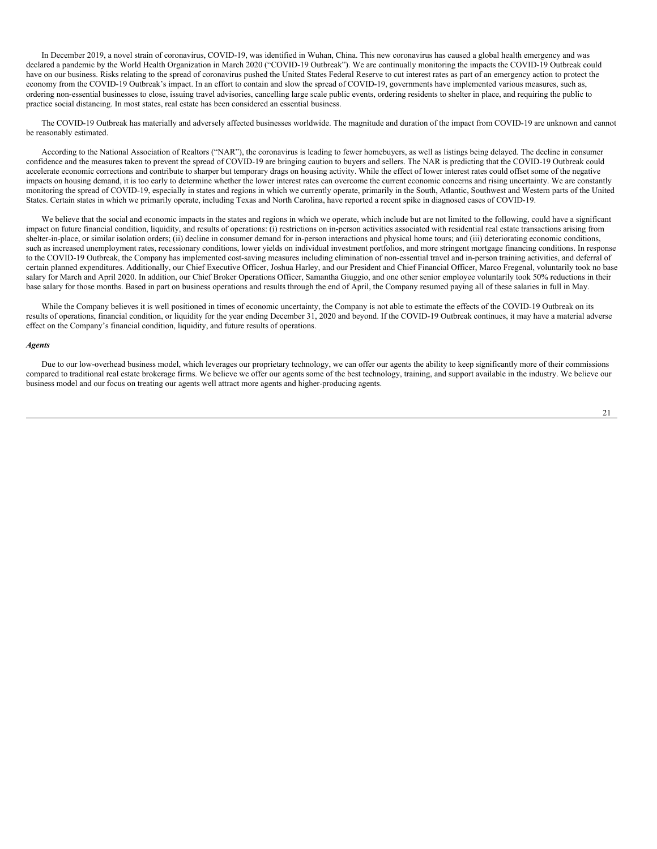In December 2019, a novel strain of coronavirus, COVID-19, was identified in Wuhan, China. This new coronavirus has caused a global health emergency and was declared a pandemic by the World Health Organization in March 2020 ("COVID-19 Outbreak"). We are continually monitoring the impacts the COVID-19 Outbreak could have on our business. Risks relating to the spread of coronavirus pushed the United States Federal Reserve to cut interest rates as part of an emergency action to protect the economy from the COVID-19 Outbreak's impact. In an effort to contain and slow the spread of COVID-19, governments have implemented various measures, such as, ordering non-essential businesses to close, issuing travel advisories, cancelling large scale public events, ordering residents to shelter in place, and requiring the public to practice social distancing. In most states, real estate has been considered an essential business.

The COVID-19 Outbreak has materially and adversely affected businesses worldwide. The magnitude and duration of the impact from COVID-19 are unknown and cannot be reasonably estimated.

According to the National Association of Realtors ("NAR"), the coronavirus is leading to fewer homebuyers, as well as listings being delayed. The decline in consumer confidence and the measures taken to prevent the spread of COVID-19 are bringing caution to buyers and sellers. The NAR is predicting that the COVID-19 Outbreak could accelerate economic corrections and contribute to sharper but temporary drags on housing activity. While the effect of lower interest rates could offset some of the negative impacts on housing demand, it is too early to determine whether the lower interest rates can overcome the current economic concerns and rising uncertainty. We are constantly monitoring the spread of COVID-19, especially in states and regions in which we currently operate, primarily in the South, Atlantic, Southwest and Western parts of the United States. Certain states in which we primarily operate, including Texas and North Carolina, have reported a recent spike in diagnosed cases of COVID-19.

We believe that the social and economic impacts in the states and regions in which we operate, which include but are not limited to the following, could have a significant impact on future financial condition, liquidity, and results of operations: (i) restrictions on in-person activities associated with residential real estate transactions arising from shelter-in-place, or similar isolation orders; (ii) decline in consumer demand for in-person interactions and physical home tours; and (iii) deteriorating economic conditions, such as increased unemployment rates, recessionary conditions, lower yields on individual investment portfolios, and more stringent mortgage financing conditions. In response to the COVID-19 Outbreak, the Company has implemented cost-saving measures including elimination of non-essential travel and in-person training activities, and deferral of certain planned expenditures. Additionally, our Chief Executive Officer, Joshua Harley, and our President and Chief Financial Officer, Marco Fregenal, voluntarily took no base salary for March and April 2020. In addition, our Chief Broker Operations Officer, Samantha Giuggio, and one other senior employee voluntarily took 50% reductions in their base salary for those months. Based in part on business operations and results through the end of April, the Company resumed paying all of these salaries in full in May.

While the Company believes it is well positioned in times of economic uncertainty, the Company is not able to estimate the effects of the COVID-19 Outbreak on its results of operations, financial condition, or liquidity for the year ending December 31, 2020 and beyond. If the COVID-19 Outbreak continues, it may have a material adverse effect on the Company's financial condition, liquidity, and future results of operations.

#### *Agents*

Due to our low-overhead business model, which leverages our proprietary technology, we can offer our agents the ability to keep significantly more of their commissions compared to traditional real estate brokerage firms. We believe we offer our agents some of the best technology, training, and support available in the industry. We believe our business model and our focus on treating our agents well attract more agents and higher-producing agents.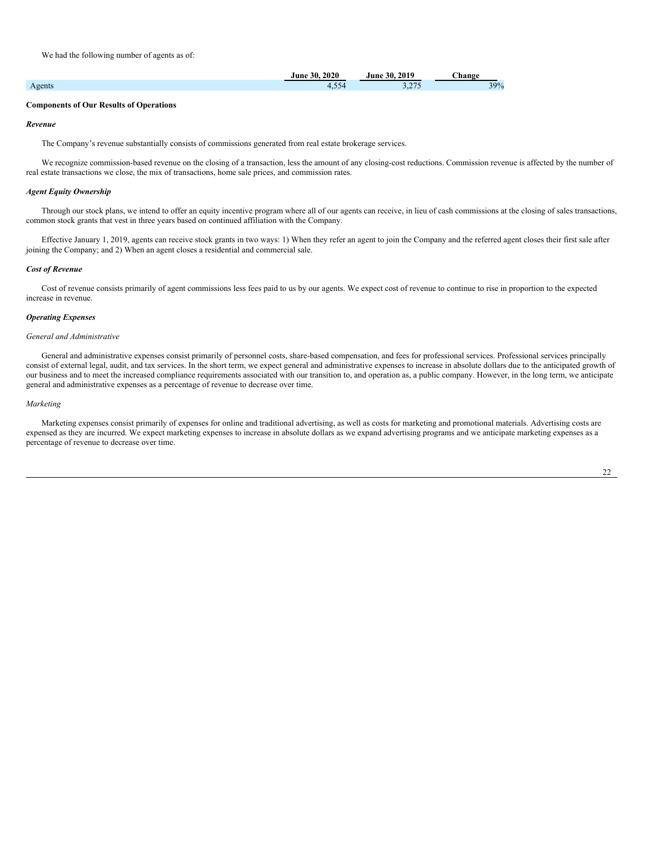|        | 2020<br>30<br>luna | 2019<br>$\sim$ $\sim$<br>-30.<br>June | hange |  |
|--------|--------------------|---------------------------------------|-------|--|
| Agents | 1.JJ               | $\sim$ $\sim$ $\sim$                  | 300   |  |

# **Components of Our Results of Operations**

#### *Revenue*

The Company's revenue substantially consists of commissions generated from real estate brokerage services.

We recognize commission-based revenue on the closing of a transaction, less the amount of any closing-cost reductions. Commission revenue is affected by the number of real estate transactions we close, the mix of transactions, home sale prices, and commission rates.

#### *Agent Equity Ownership*

Through our stock plans, we intend to offer an equity incentive program where all of our agents can receive, in lieu of cash commissions at the closing of sales transactions, common stock grants that vest in three years based on continued affiliation with the Company.

Effective January 1, 2019, agents can receive stock grants in two ways: 1) When they refer an agent to join the Company and the referred agent closes their first sale after joining the Company; and 2) When an agent closes a residential and commercial sale.

#### *Cost of Revenue*

Cost of revenue consists primarily of agent commissions less fees paid to us by our agents. We expect cost of revenue to continue to rise in proportion to the expected increase in revenue.

## *Operating Expenses*

## *General and Administrative*

General and administrative expenses consist primarily of personnel costs, share-based compensation, and fees for professional services. Professional services principally consist of external legal, audit, and tax services. In the short term, we expect general and administrative expenses to increase in absolute dollars due to the anticipated growth of our business and to meet the increased compliance requirements associated with our transition to, and operation as, a public company. However, in the long term, we anticipate general and administrative expenses as a percentage of revenue to decrease over time.

#### *Marketing*

Marketing expenses consist primarily of expenses for online and traditional advertising, as well as costs for marketing and promotional materials. Advertising costs are expensed as they are incurred. We expect marketing expenses to increase in absolute dollars as we expand advertising programs and we anticipate marketing expenses as a percentage of revenue to decrease over time.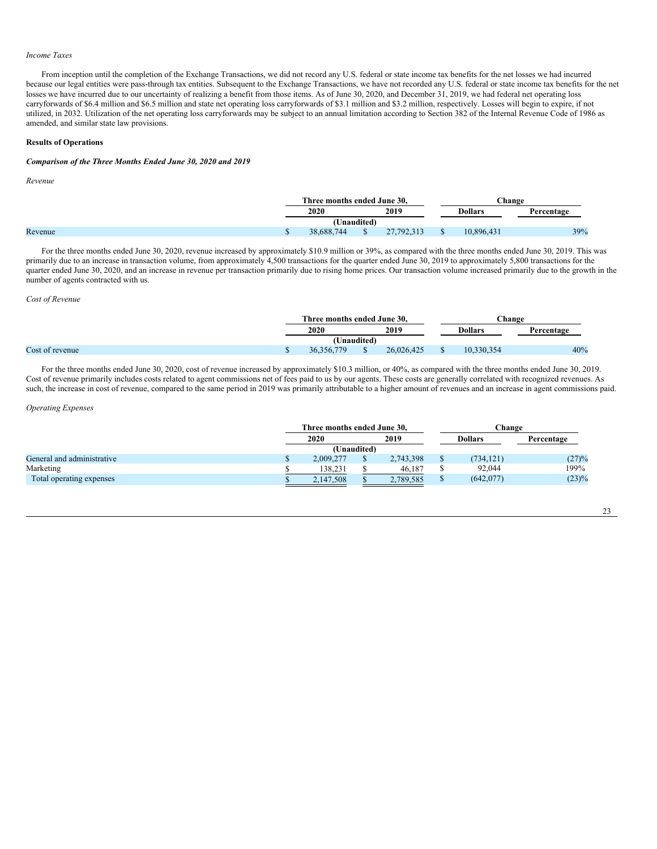#### *Income Taxes*

From inception until the completion of the Exchange Transactions, we did not record any U.S. federal or state income tax benefits for the net losses we had incurred because our legal entities were pass-through tax entities. Subsequent to the Exchange Transactions, we have not recorded any U.S. federal or state income tax benefits for the net losses we have incurred due to our uncertainty of realizing a benefit from those items. As of June 30, 2020, and December 31, 2019, we had federal net operating loss carryforwards of \$6.4 million and \$6.5 million and state net operating loss carryforwards of \$3.1 million and \$3.2 million, respectively. Losses will begin to expire, if not utilized, in 2032. Utilization of the net operating loss carryforwards may be subject to an annual limitation according to Section 382 of the Internal Revenue Code of 1986 as amended, and similar state law provisions.

# **Results of Operations**

# *Comparison of the Three Months Ended June 30, 2020 and 2019*

*Revenue*

|         | Three months ended June 30. |             |  |            |                | Change     |     |  |            |
|---------|-----------------------------|-------------|--|------------|----------------|------------|-----|--|------------|
|         |                             | 2020        |  | 2019       | <b>Dollars</b> |            |     |  | Percentage |
|         |                             | (Unaudited) |  |            |                |            |     |  |            |
| Revenue |                             | 38,688,744  |  | 27.792.313 |                | 10.896.431 | 39% |  |            |

For the three months ended June 30, 2020, revenue increased by approximately \$10.9 million or 39%, as compared with the three months ended June 30, 2019. This was primarily due to an increase in transaction volume, from approximately 4,500 transactions for the quarter ended June 30, 2019 to approximately 5,800 transactions for the quarter ended June 30, 2020, and an increase in revenue per transaction primarily due to rising home prices. Our transaction volume increased primarily due to the growth in the number of agents contracted with us.

## *Cost of Revenue*

|                 | Three months ended June 30. |              |             |            |                | <b>Change</b> |            |
|-----------------|-----------------------------|--------------|-------------|------------|----------------|---------------|------------|
|                 |                             | 2019<br>2020 |             |            | <b>Dollars</b> |               | Percentage |
|                 |                             |              | 'Unaudited) |            |                |               |            |
| Cost of revenue |                             | 36.356.779   |             | 26,026,425 |                | 10.330.354    | 40%        |

For the three months ended June 30, 2020, cost of revenue increased by approximately \$10.3 million, or 40%, as compared with the three months ended June 30, 2019. Cost of revenue primarily includes costs related to agent commissions net of fees paid to us by our agents. These costs are generally correlated with recognized revenues. As such, the increase in cost of revenue, compared to the same period in 2019 was primarily attributable to a higher amount of revenues and an increase in agent commissions paid.

#### *Operating Expenses*

|                            | Three months ended June 30. |  |           |  | ∑hange         |            |  |
|----------------------------|-----------------------------|--|-----------|--|----------------|------------|--|
|                            | 2020                        |  | 2019      |  | <b>Dollars</b> | Percentage |  |
|                            | (Unaudited)                 |  |           |  |                |            |  |
| General and administrative | 2.009.277                   |  | 2.743.398 |  | (734, 121)     | (27)%      |  |
| Marketing                  | 138.231                     |  | 46.187    |  | 92,044         | 199%       |  |
| Total operating expenses   | 2,147,508                   |  | 2,789,585 |  | (642,077)      | $(23)\%$   |  |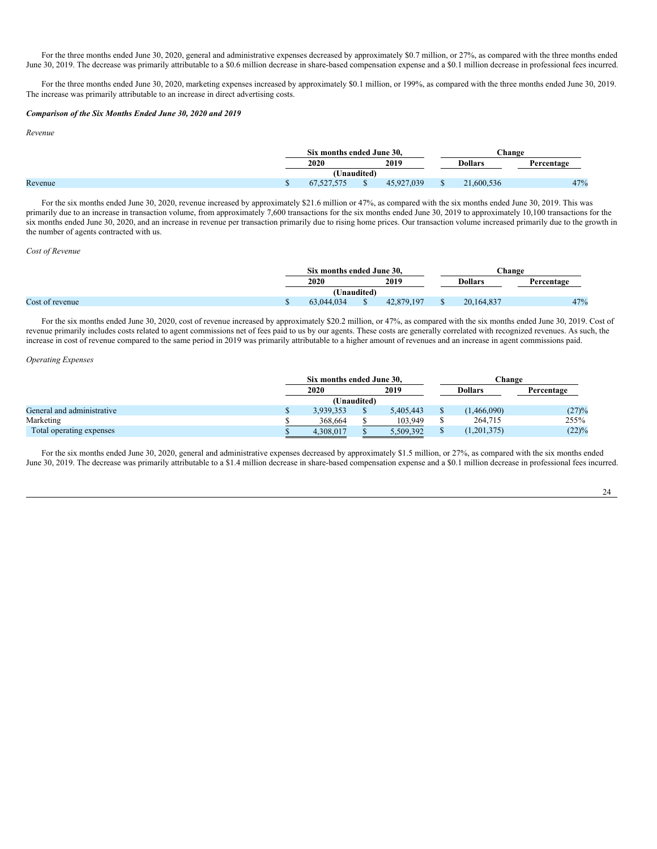For the three months ended June 30, 2020, general and administrative expenses decreased by approximately \$0.7 million, or 27%, as compared with the three months ended June 30, 2019. The decrease was primarily attributable to a \$0.6 million decrease in share-based compensation expense and a \$0.1 million decrease in professional fees incurred.

For the three months ended June 30, 2020, marketing expenses increased by approximately \$0.1 million, or 199%, as compared with the three months ended June 30, 2019. The increase was primarily attributable to an increase in direct advertising costs.

# *Comparison of the Six Months Ended June 30, 2020 and 2019*

*Revenue*

|         | Six months ended June 30. |  |            |  | Change         |            |  |
|---------|---------------------------|--|------------|--|----------------|------------|--|
|         | 2020                      |  | 2019       |  | <b>Dollars</b> | Percentage |  |
|         | (Unaudited)               |  |            |  |                |            |  |
| Revenue | 67,527,57                 |  | 45,927,039 |  | 21,600,536     | 47%        |  |

For the six months ended June 30, 2020, revenue increased by approximately \$21.6 million or 47%, as compared with the six months ended June 30, 2019. This was primarily due to an increase in transaction volume, from approximately 7,600 transactions for the six months ended June 30, 2019 to approximately 10,100 transactions for the six months ended June 30, 2020, and an increase in revenue per transaction primarily due to rising home prices. Our transaction volume increased primarily due to the growth in the number of agents contracted with us.

#### *Cost of Revenue*

|                 | Six months ended June 30. |  |            |                | <b>Change</b> |            |  |
|-----------------|---------------------------|--|------------|----------------|---------------|------------|--|
|                 | 2020                      |  | 2019       | <b>Dollars</b> |               | Percentage |  |
|                 | (Unaudited)               |  |            |                |               |            |  |
| Cost of revenue | 63,044,034                |  | 42,879,197 |                | 20.164.837    | 47%        |  |

For the six months ended June 30, 2020, cost of revenue increased by approximately \$20.2 million, or 47%, as compared with the six months ended June 30, 2019. Cost of revenue primarily includes costs related to agent commissions net of fees paid to us by our agents. These costs are generally correlated with recognized revenues. As such, the increase in cost of revenue compared to the same period in 2019 was primarily attributable to a higher amount of revenues and an increase in agent commissions paid.

#### *Operating Expenses*

|                            | Six months ended June 30, |  |           |  | ∑hange         |            |  |  |  |
|----------------------------|---------------------------|--|-----------|--|----------------|------------|--|--|--|
|                            | <b>2020</b>               |  | 2019      |  | <b>Dollars</b> | Percentage |  |  |  |
|                            | (Unaudited)               |  |           |  |                |            |  |  |  |
| General and administrative | 3.939.353                 |  | 5.405.443 |  | (1,466,090)    | (27)%      |  |  |  |
| Marketing                  | 368,664                   |  | 103.949   |  | 264.715        | 255%       |  |  |  |
| Total operating expenses   | 4.308.017                 |  | 5.509.392 |  | (1,201,375)    | $(22)\%$   |  |  |  |

For the six months ended June 30, 2020, general and administrative expenses decreased by approximately \$1.5 million, or 27%, as compared with the six months ended June 30, 2019. The decrease was primarily attributable to a \$1.4 million decrease in share-based compensation expense and a \$0.1 million decrease in professional fees incurred.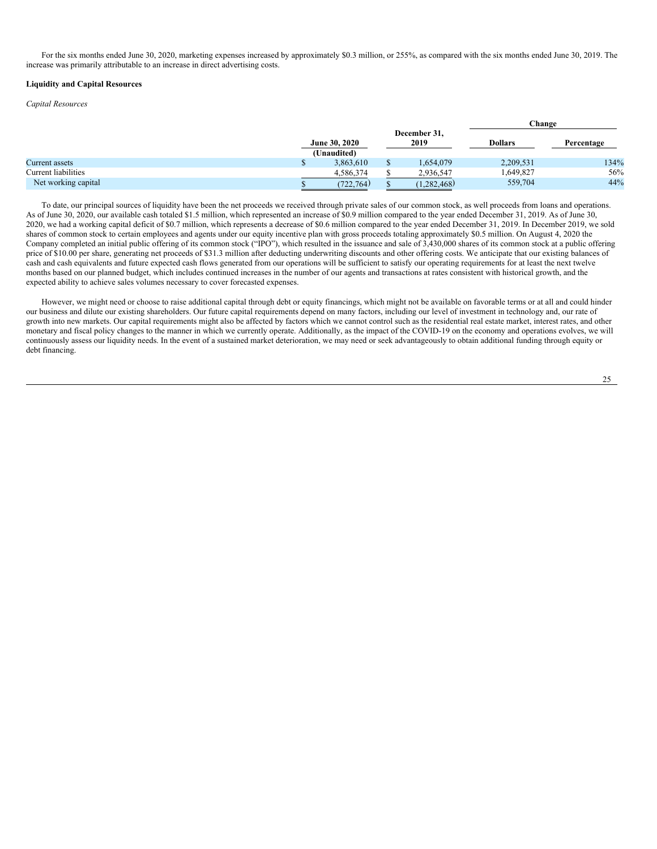For the six months ended June 30, 2020, marketing expenses increased by approximately \$0.3 million, or 255%, as compared with the six months ended June 30, 2019. The increase was primarily attributable to an increase in direct advertising costs.

## **Liquidity and Capital Resources**

#### *Capital Resources*

|                     |                      |                      |             | Change         |            |  |
|---------------------|----------------------|----------------------|-------------|----------------|------------|--|
|                     | <b>June 30, 2020</b> | December 31,<br>2019 |             | <b>Dollars</b> | Percentage |  |
|                     | (Unaudited)          |                      |             |                |            |  |
| Current assets      | 3,863,610            |                      | 1.654.079   | 2,209,531      | 134%       |  |
| Current liabilities | 4.586.374            |                      | 2,936,547   | 1,649,827      | 56%        |  |
| Net working capital | (722, 764)           |                      | (1,282,468) | 559,704        | 44%        |  |

To date, our principal sources of liquidity have been the net proceeds we received through private sales of our common stock, as well proceeds from loans and operations. As of June 30, 2020, our available cash totaled \$1.5 million, which represented an increase of \$0.9 million compared to the year ended December 31, 2019. As of June 30, 2020, we had a working capital deficit of \$0.7 million, which represents a decrease of \$0.6 million compared to the year ended December 31, 2019. In December 2019, we sold shares of common stock to certain employees and agents under our equity incentive plan with gross proceeds totaling approximately \$0.5 million. On August 4, 2020 the Company completed an initial public offering of its common stock ("IPO"), which resulted in the issuance and sale of  $3,430,000$  shares of its common stock at a public offering price of \$10.00 per share, generating net proceeds of \$31.3 million after deducting underwriting discounts and other offering costs. We anticipate that our existing balances of cash and cash equivalents and future expected cash flows generated from our operations will be sufficient to satisfy our operating requirements for at least the next twelve months based on our planned budget, which includes continued increases in the number of our agents and transactions at rates consistent with historical growth, and the expected ability to achieve sales volumes necessary to cover forecasted expenses.

However, we might need or choose to raise additional capital through debt or equity financings, which might not be available on favorable terms or at all and could hinder our business and dilute our existing shareholders. Our future capital requirements depend on many factors, including our level of investment in technology and, our rate of growth into new markets. Our capital requirements might also be affected by factors which we cannot control such as the residential real estate market, interest rates, and other monetary and fiscal policy changes to the manner in which we currently operate. Additionally, as the impact of the COVID-19 on the economy and operations evolves, we will continuously assess our liquidity needs. In the event of a sustained market deterioration, we may need or seek advantageously to obtain additional funding through equity or debt financing.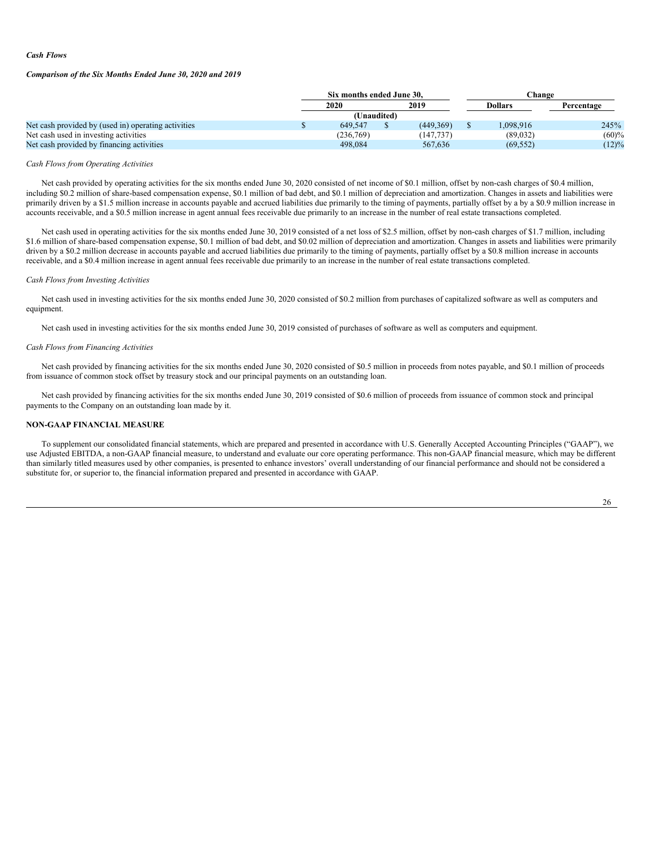#### *Comparison of the Six Months Ended June 30, 2020 and 2019*

|                                                     | Six months ended June 30. |  |            |                | ∑hange    |            |  |
|-----------------------------------------------------|---------------------------|--|------------|----------------|-----------|------------|--|
|                                                     | <b>2020</b>               |  | 2019       | <b>Dollars</b> |           | Percentage |  |
|                                                     | (Unaudited)               |  |            |                |           |            |  |
| Net cash provided by (used in) operating activities | 649.547                   |  | (449.369)  |                | 1.098.916 | 245%       |  |
| Net cash used in investing activities               | (236.769)                 |  | (147, 737) |                | (89,032)  | (60)%      |  |
| Net cash provided by financing activities           | 498,084                   |  | 567,636    |                | (69, 552) | $(12)\%$   |  |

#### *Cash Flows from Operating Activities*

Net cash provided by operating activities for the six months ended June 30, 2020 consisted of net income of \$0.1 million, offset by non-cash charges of \$0.4 million, including \$0.2 million of share-based compensation expense, \$0.1 million of bad debt, and \$0.1 million of depreciation and amortization. Changes in assets and liabilities were primarily driven by a \$1.5 million increase in accounts payable and accrued liabilities due primarily to the timing of payments, partially offset by a by a \$0.9 million increase in accounts receivable, and a \$0.5 million increase in agent annual fees receivable due primarily to an increase in the number of real estate transactions completed.

Net cash used in operating activities for the six months ended June 30, 2019 consisted of a net loss of \$2.5 million, offset by non-cash charges of \$1.7 million, including \$1.6 million of share-based compensation expense, \$0.1 million of bad debt, and \$0.02 million of depreciation and amortization. Changes in assets and liabilities were primarily driven by a \$0.2 million decrease in accounts payable and accrued liabilities due primarily to the timing of payments, partially offset by a \$0.8 million increase in accounts receivable, and a \$0.4 million increase in agent annual fees receivable due primarily to an increase in the number of real estate transactions completed.

#### *Cash Flows from Investing Activities*

Net cash used in investing activities for the six months ended June 30, 2020 consisted of \$0.2 million from purchases of capitalized software as well as computers and equipment.

Net cash used in investing activities for the six months ended June 30, 2019 consisted of purchases of software as well as computers and equipment.

## *Cash Flows from Financing Activities*

Net cash provided by financing activities for the six months ended June 30, 2020 consisted of \$0.5 million in proceeds from notes payable, and \$0.1 million of proceeds from issuance of common stock offset by treasury stock and our principal payments on an outstanding loan.

Net cash provided by financing activities for the six months ended June 30, 2019 consisted of \$0.6 million of proceeds from issuance of common stock and principal payments to the Company on an outstanding loan made by it.

# **NON-GAAP FINANCIAL MEASURE**

To supplement our consolidated financial statements, which are prepared and presented in accordance with U.S. Generally Accepted Accounting Principles ("GAAP"), we use Adjusted EBITDA, a non-GAAP financial measure, to understand and evaluate our core operating performance. This non-GAAP financial measure, which may be different than similarly titled measures used by other companies, is presented to enhance investors' overall understanding of our financial performance and should not be considered a substitute for, or superior to, the financial information prepared and presented in accordance with GAAP.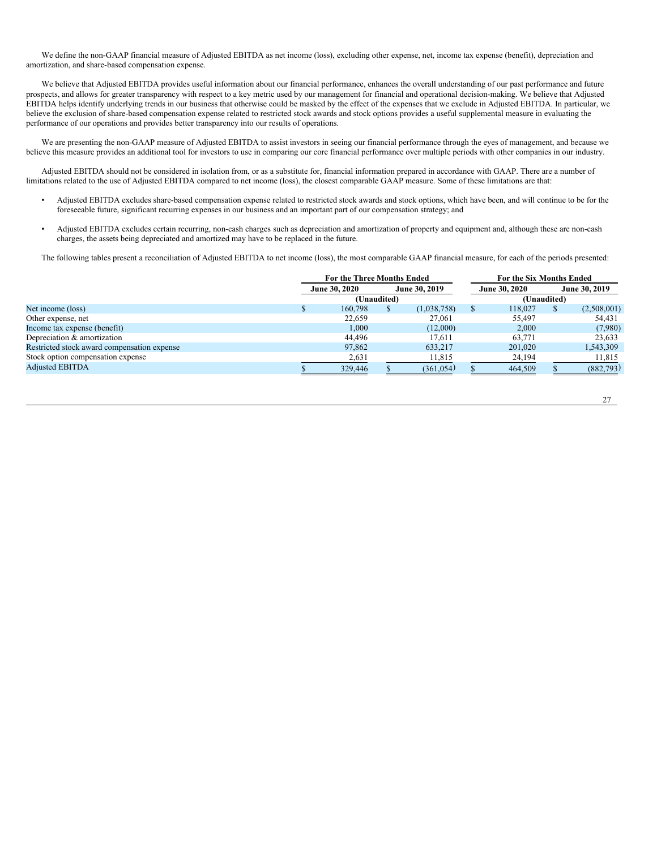We define the non-GAAP financial measure of Adjusted EBITDA as net income (loss), excluding other expense, net, income tax expense (benefit), depreciation and amortization, and share-based compensation expense.

We believe that Adjusted EBITDA provides useful information about our financial performance, enhances the overall understanding of our past performance and future prospects, and allows for greater transparency with respect to a key metric used by our management for financial and operational decision-making. We believe that Adjusted EBITDA helps identify underlying trends in our business that otherwise could be masked by the effect of the expenses that we exclude in Adjusted EBITDA. In particular, we believe the exclusion of share-based compensation expense related to restricted stock awards and stock options provides a useful supplemental measure in evaluating the performance of our operations and provides better transparency into our results of operations.

We are presenting the non-GAAP measure of Adjusted EBITDA to assist investors in seeing our financial performance through the eyes of management, and because we believe this measure provides an additional tool for investors to use in comparing our core financial performance over multiple periods with other companies in our industry.

Adjusted EBITDA should not be considered in isolation from, or as a substitute for, financial information prepared in accordance with GAAP. There are a number of limitations related to the use of Adjusted EBITDA compared to net income (loss), the closest comparable GAAP measure. Some of these limitations are that:

- Adjusted EBITDA excludes share-based compensation expense related to restricted stock awards and stock options, which have been, and will continue to be for the foreseeable future, significant recurring expenses in our business and an important part of our compensation strategy; and
- Adjusted EBITDA excludes certain recurring, non-cash charges such as depreciation and amortization of property and equipment and, although these are non-cash charges, the assets being depreciated and amortized may have to be replaced in the future.

The following tables present a reconciliation of Adjusted EBITDA to net income (loss), the most comparable GAAP financial measure, for each of the periods presented:

|                                             | <b>For the Three Months Ended</b> |         |  |               | For the Six Months Ended |                      |   |               |  |
|---------------------------------------------|-----------------------------------|---------|--|---------------|--------------------------|----------------------|---|---------------|--|
|                                             | <b>June 30, 2020</b>              |         |  | June 30, 2019 |                          | <b>June 30, 2020</b> |   | June 30, 2019 |  |
|                                             | (Unaudited)                       |         |  |               |                          | (Unaudited)          |   |               |  |
| Net income (loss)                           |                                   | 160,798 |  | (1,038,758)   | S                        | 118,027              | S | (2,508,001)   |  |
| Other expense, net                          |                                   | 22,659  |  | 27,061        |                          | 55.497               |   | 54.431        |  |
| Income tax expense (benefit)                |                                   | 1,000   |  | (12,000)      |                          | 2,000                |   | (7,980)       |  |
| Depreciation & amortization                 |                                   | 44,496  |  | 17.611        |                          | 63.771               |   | 23.633        |  |
| Restricted stock award compensation expense |                                   | 97,862  |  | 633.217       |                          | 201,020              |   | 1,543,309     |  |
| Stock option compensation expense           |                                   | 2,631   |  | 11,815        |                          | 24,194               |   | 11,815        |  |
| <b>Adjusted EBITDA</b>                      |                                   | 329,446 |  | (361, 054)    |                          | 464,509              |   | (882,793)     |  |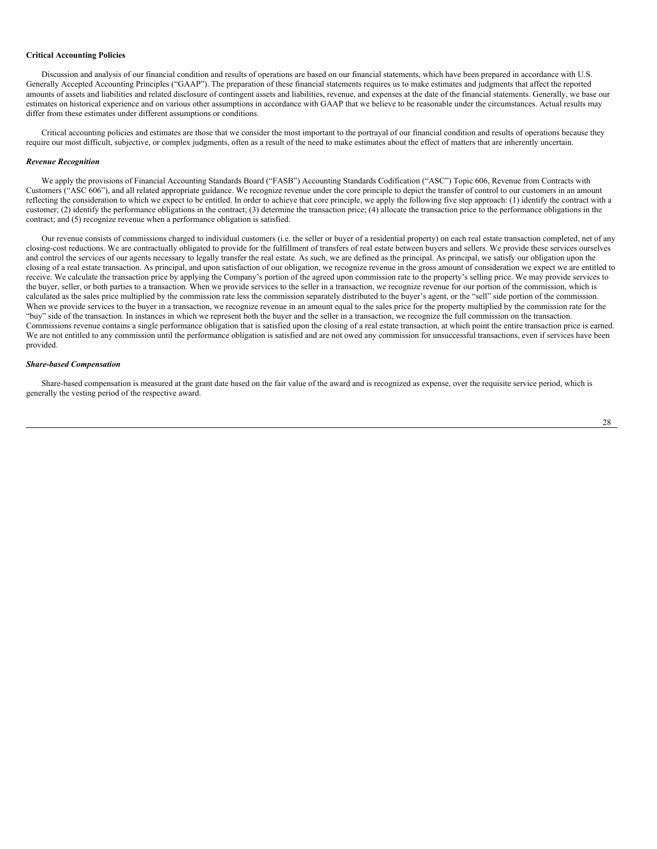#### **Critical Accounting Policies**

Discussion and analysis of our financial condition and results of operations are based on our financial statements, which have been prepared in accordance with U.S. Generally Accepted Accounting Principles ("GAAP"). The preparation of these financial statements requires us to make estimates and judgments that affect the reported amounts of assets and liabilities and related disclosure of contingent assets and liabilities, revenue, and expenses at the date of the financial statements. Generally, we base our estimates on historical experience and on various other assumptions in accordance with GAAP that we believe to be reasonable under the circumstances. Actual results may differ from these estimates under different assumptions or conditions.

Critical accounting policies and estimates are those that we consider the most important to the portrayal of our financial condition and results of operations because they require our most difficult, subjective, or complex judgments, often as a result of the need to make estimates about the effect of matters that are inherently uncertain.

#### *Revenue Recognition*

We apply the provisions of Financial Accounting Standards Board ("FASB") Accounting Standards Codification ("ASC") Topic 606, Revenue from Contracts with Customers ("ASC 606"), and all related appropriate guidance. We recognize revenue under the core principle to depict the transfer of control to our customers in an amount reflecting the consideration to which we expect to be entitled. In order to achieve that core principle, we apply the following five step approach: (1) identify the contract with a customer; (2) identify the performance obligations in the contract; (3) determine the transaction price; (4) allocate the transaction price to the performance obligations in the contract; and (5) recognize revenue when a performance obligation is satisfied.

Our revenue consists of commissions charged to individual customers (i.e. the seller or buyer of a residential property) on each real estate transaction completed, net of any closing-cost reductions. We are contractually obligated to provide for the fulfillment of transfers of real estate between buyers and sellers. We provide these services ourselves and control the services of our agents necessary to legally transfer the real estate. As such, we are defined as the principal. As principal, we satisfy our obligation upon the closing of a real estate transaction. As principal, and upon satisfaction of our obligation, we recognize revenue in the gross amount of consideration we expect we are entitled to receive. We calculate the transaction price by applying the Company's portion of the agreed upon commission rate to the property's selling price. We may provide services to the buyer, seller, or both parties to a transaction. When we provide services to the seller in a transaction, we recognize revenue for our portion of the commission, which is calculated as the sales price multiplied by the commission rate less the commission separately distributed to the buyer's agent, or the "sell" side portion of the commission. When we provide services to the buyer in a transaction, we recognize revenue in an amount equal to the sales price for the property multiplied by the commission rate for the "buy" side of the transaction. In instances in which we represent both the buyer and the seller in a transaction, we recognize the full commission on the transaction. Commissions revenue contains a single performance obligation that is satisfied upon the closing of a real estate transaction, at which point the entire transaction price is earned. We are not entitled to any commission until the performance obligation is satisfied and are not owed any commission for unsuccessful transactions, even if services have been provided.

# *Share-based Compensation*

Share-based compensation is measured at the grant date based on the fair value of the award and is recognized as expense, over the requisite service period, which is generally the vesting period of the respective award.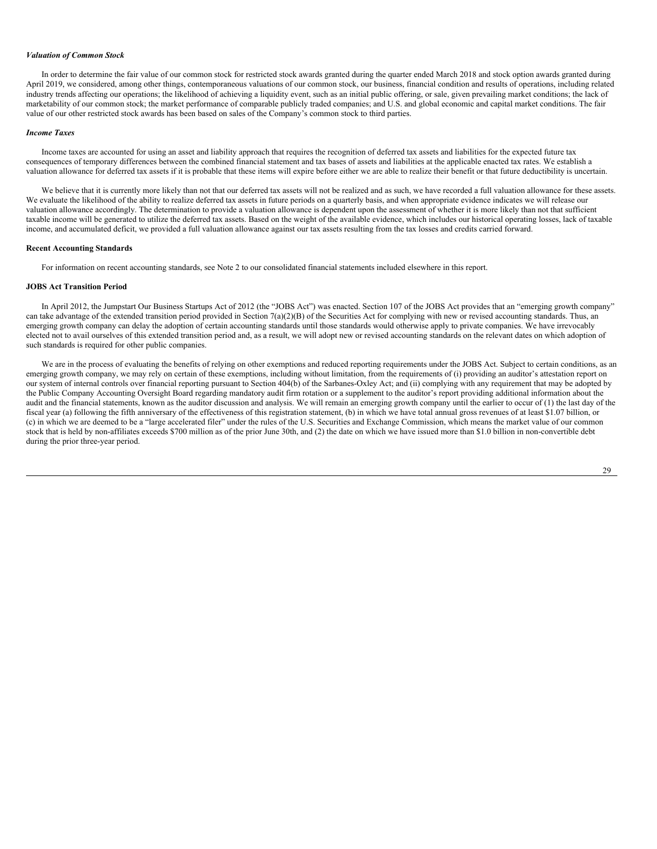#### *Valuation of Common Stock*

In order to determine the fair value of our common stock for restricted stock awards granted during the quarter ended March 2018 and stock option awards granted during April 2019, we considered, among other things, contemporaneous valuations of our common stock, our business, financial condition and results of operations, including related industry trends affecting our operations; the likelihood of achieving a liquidity event, such as an initial public offering, or sale, given prevailing market conditions; the lack of marketability of our common stock; the market performance of comparable publicly traded companies; and U.S. and global economic and capital market conditions. The fair value of our other restricted stock awards has been based on sales of the Company's common stock to third parties.

#### *Income Taxes*

Income taxes are accounted for using an asset and liability approach that requires the recognition of deferred tax assets and liabilities for the expected future tax consequences of temporary differences between the combined financial statement and tax bases of assets and liabilities at the applicable enacted tax rates. We establish a valuation allowance for deferred tax assets if it is probable that these items will expire before either we are able to realize their benefit or that future deductibility is uncertain.

We believe that it is currently more likely than not that our deferred tax assets will not be realized and as such, we have recorded a full valuation allowance for these assets. We evaluate the likelihood of the ability to realize deferred tax assets in future periods on a quarterly basis, and when appropriate evidence indicates we will release our valuation allowance accordingly. The determination to provide a valuation allowance is dependent upon the assessment of whether it is more likely than not that sufficient taxable income will be generated to utilize the deferred tax assets. Based on the weight of the available evidence, which includes our historical operating losses, lack of taxable income, and accumulated deficit, we provided a full valuation allowance against our tax assets resulting from the tax losses and credits carried forward.

#### **Recent Accounting Standards**

For information on recent accounting standards, see Note 2 to our consolidated financial statements included elsewhere in this report.

#### **JOBS Act Transition Period**

In April 2012, the Jumpstart Our Business Startups Act of 2012 (the "JOBS Act") was enacted. Section 107 of the JOBS Act provides that an "emerging growth company" can take advantage of the extended transition period provided in Section 7(a)(2)(B) of the Securities Act for complying with new or revised accounting standards. Thus, an emerging growth company can delay the adoption of certain accounting standards until those standards would otherwise apply to private companies. We have irrevocably elected not to avail ourselves of this extended transition period and, as a result, we will adopt new or revised accounting standards on the relevant dates on which adoption of such standards is required for other public companies.

We are in the process of evaluating the benefits of relying on other exemptions and reduced reporting requirements under the JOBS Act. Subject to certain conditions, as an emerging growth company, we may rely on certain of these exemptions, including without limitation, from the requirements of (i) providing an auditor's attestation report on our system of internal controls over financial reporting pursuant to Section 404(b) of the Sarbanes-Oxley Act; and (ii) complying with any requirement that may be adopted by the Public Company Accounting Oversight Board regarding mandatory audit firm rotation or a supplement to the auditor's report providing additional information about the audit and the financial statements, known as the auditor discussion and analysis. We will remain an emerging growth company until the earlier to occur of (1) the last day of the fiscal year (a) following the fifth anniversary of the effectiveness of this registration statement, (b) in which we have total annual gross revenues of at least \$1.07 billion, or (c) in which we are deemed to be a "large accelerated filer" under the rules of the U.S. Securities and Exchange Commission, which means the market value of our common stock that is held by non-affiliates exceeds \$700 million as of the prior June 30th, and (2) the date on which we have issued more than \$1.0 billion in non-convertible debt during the prior three-year period.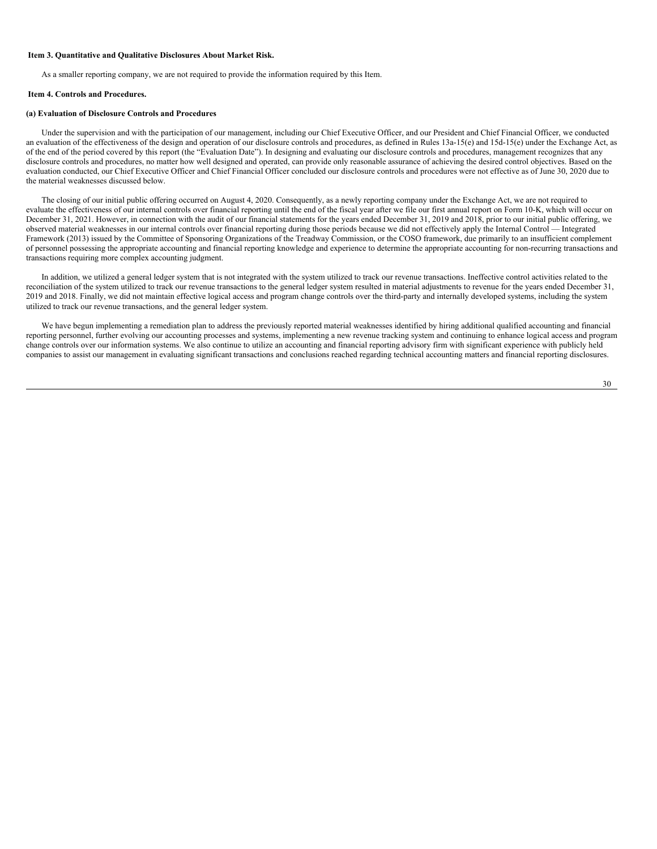#### <span id="page-30-0"></span>**Item 3. Quantitative and Qualitative Disclosures About Market Risk.**

As a smaller reporting company, we are not required to provide the information required by this Item.

## <span id="page-30-1"></span>**Item 4. Controls and Procedures.**

# **(a) Evaluation of Disclosure Controls and Procedures**

Under the supervision and with the participation of our management, including our Chief Executive Officer, and our President and Chief Financial Officer, we conducted an evaluation of the effectiveness of the design and operation of our disclosure controls and procedures, as defined in Rules 13a-15(e) and 15d-15(e) under the Exchange Act, as of the end of the period covered by this report (the "Evaluation Date"). In designing and evaluating our disclosure controls and procedures, management recognizes that any disclosure controls and procedures, no matter how well designed and operated, can provide only reasonable assurance of achieving the desired control objectives. Based on the evaluation conducted, our Chief Executive Officer and Chief Financial Officer concluded our disclosure controls and procedures were not effective as of June 30, 2020 due to the material weaknesses discussed below.

The closing of our initial public offering occurred on August 4, 2020. Consequently, as a newly reporting company under the Exchange Act, we are not required to evaluate the effectiveness of our internal controls over financial reporting until the end of the fiscal year after we file our first annual report on Form 10-K, which will occur on December 31, 2021. However, in connection with the audit of our financial statements for the years ended December 31, 2019 and 2018, prior to our initial public offering, we observed material weaknesses in our internal controls over financial reporting during those periods because we did not effectively apply the Internal Control — Integrated Framework (2013) issued by the Committee of Sponsoring Organizations of the Treadway Commission, or the COSO framework, due primarily to an insufficient complement of personnel possessing the appropriate accounting and financial reporting knowledge and experience to determine the appropriate accounting for non-recurring transactions and transactions requiring more complex accounting judgment.

In addition, we utilized a general ledger system that is not integrated with the system utilized to track our revenue transactions. Ineffective control activities related to the reconciliation of the system utilized to track our revenue transactions to the general ledger system resulted in material adjustments to revenue for the years ended December 31, 2019 and 2018. Finally, we did not maintain effective logical access and program change controls over the third-party and internally developed systems, including the system utilized to track our revenue transactions, and the general ledger system.

We have begun implementing a remediation plan to address the previously reported material weaknesses identified by hiring additional qualified accounting and financial reporting personnel, further evolving our accounting processes and systems, implementing a new revenue tracking system and continuing to enhance logical access and program change controls over our information systems. We also continue to utilize an accounting and financial reporting advisory firm with significant experience with publicly held companies to assist our management in evaluating significant transactions and conclusions reached regarding technical accounting matters and financial reporting disclosures.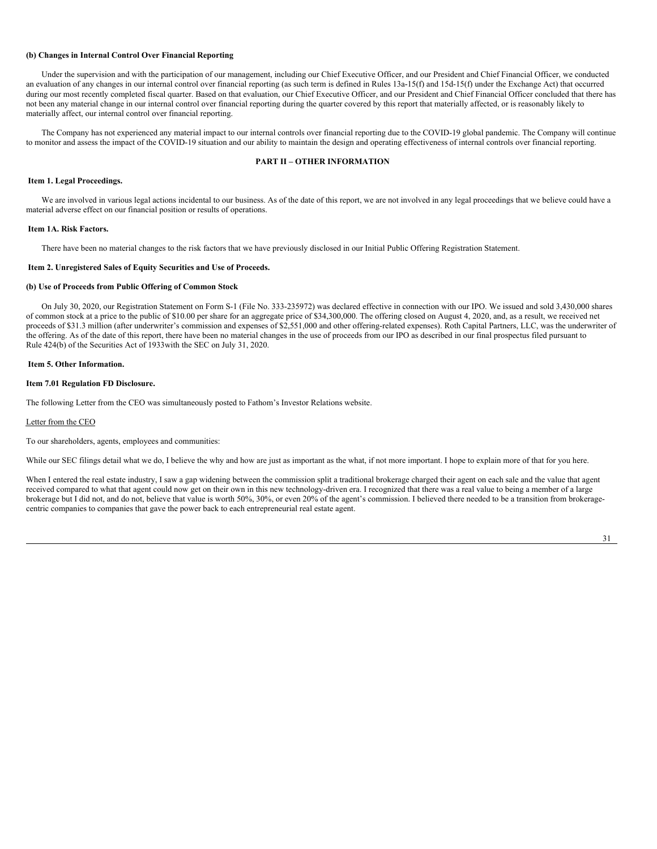#### **(b) Changes in Internal Control Over Financial Reporting**

Under the supervision and with the participation of our management, including our Chief Executive Officer, and our President and Chief Financial Officer, we conducted an evaluation of any changes in our internal control over financial reporting (as such term is defined in Rules 13a-15(f) and 15d-15(f) under the Exchange Act) that occurred during our most recently completed fiscal quarter. Based on that evaluation, our Chief Executive Officer, and our President and Chief Financial Officer concluded that there has not been any material change in our internal control over financial reporting during the quarter covered by this report that materially affected, or is reasonably likely to materially affect, our internal control over financial reporting.

The Company has not experienced any material impact to our internal controls over financial reporting due to the COVID-19 global pandemic. The Company will continue to monitor and assess the impact of the COVID-19 situation and our ability to maintain the design and operating effectiveness of internal controls over financial reporting.

# <span id="page-31-0"></span>**PART II – OTHER INFORMATION**

#### <span id="page-31-1"></span>**Item 1. Legal Proceedings.**

We are involved in various legal actions incidental to our business. As of the date of this report, we are not involved in any legal proceedings that we believe could have a material adverse effect on our financial position or results of operations.

## <span id="page-31-2"></span>**Item 1A. Risk Factors.**

There have been no material changes to the risk factors that we have previously disclosed in our Initial Public Offering Registration Statement.

#### <span id="page-31-3"></span>**Item 2. Unregistered Sales of Equity Securities and Use of Proceeds.**

#### **(b) Use of Proceeds from Public Offering of Common Stock**

On July 30, 2020, our Registration Statement on Form S-1 (File No. 333-235972) was declared effective in connection with our IPO. We issued and sold 3,430,000 shares of common stock at a price to the public of \$10.00 per share for an aggregate price of \$34,300,000. The offering closed on August 4, 2020, and, as a result, we received net proceeds of \$31.3 million (after underwriter's commission and expenses of \$2,551,000 and other offering-related expenses). Roth Capital Partners, LLC, was the underwriter of the offering. As of the date of this report, there have been no material changes in the use of proceeds from our IPO as described in our final prospectus filed pursuant to Rule 424(b) of the Securities Act of 1933with the SEC on July 31, 2020.

#### <span id="page-31-4"></span>**Item 5. Other Information.**

# **Item 7.01 Regulation FD Disclosure.**

The following Letter from the CEO was simultaneously posted to Fathom's Investor Relations website.

#### Letter from the CEO

To our shareholders, agents, employees and communities:

While our SEC filings detail what we do, I believe the why and how are just as important as the what, if not more important. I hope to explain more of that for you here.

When I entered the real estate industry, I saw a gap widening between the commission split a traditional brokerage charged their agent on each sale and the value that agent received compared to what that agent could now get on their own in this new technology-driven era. I recognized that there was a real value to being a member of a large brokerage but I did not, and do not, believe that value is worth 50%, 30%, or even 20% of the agent's commission. I believed there needed to be a transition from brokeragecentric companies to companies that gave the power back to each entrepreneurial real estate agent.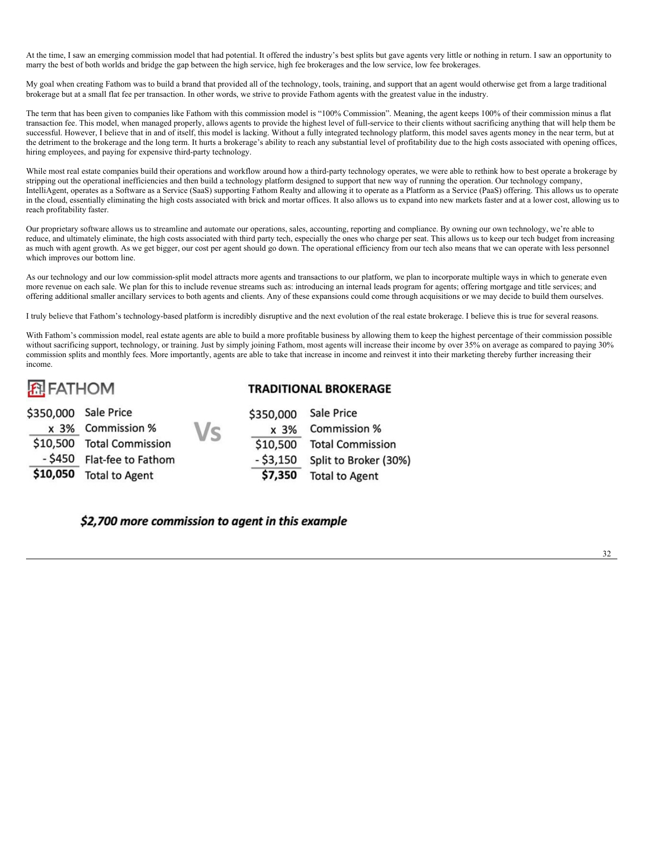At the time, I saw an emerging commission model that had potential. It offered the industry's best splits but gave agents very little or nothing in return. I saw an opportunity to marry the best of both worlds and bridge the gap between the high service, high fee brokerages and the low service, low fee brokerages.

My goal when creating Fathom was to build a brand that provided all of the technology, tools, training, and support that an agent would otherwise get from a large traditional brokerage but at a small flat fee per transaction. In other words, we strive to provide Fathom agents with the greatest value in the industry.

The term that has been given to companies like Fathom with this commission model is "100% Commission". Meaning, the agent keeps 100% of their commission minus a flat transaction fee. This model, when managed properly, allows agents to provide the highest level of full-service to their clients without sacrificing anything that will help them be successful. However, I believe that in and of itself, this model is lacking. Without a fully integrated technology platform, this model saves agents money in the near term, but at the detriment to the brokerage and the long term. It hurts a brokerage's ability to reach any substantial level of profitability due to the high costs associated with opening offices, hiring employees, and paying for expensive third-party technology.

While most real estate companies build their operations and workflow around how a third-party technology operates, we were able to rethink how to best operate a brokerage by stripping out the operational inefficiencies and then build a technology platform designed to support that new way of running the operation. Our technology company, IntelliAgent, operates as a Software as a Service (SaaS) supporting Fathom Realty and allowing it to operate as a Platform as a Service (PaaS) offering. This allows us to operate in the cloud, essentially eliminating the high costs associated with brick and mortar offices. It also allows us to expand into new markets faster and at a lower cost, allowing us to reach profitability faster.

Our proprietary software allows us to streamline and automate our operations, sales, accounting, reporting and compliance. By owning our own technology, we're able to reduce, and ultimately eliminate, the high costs associated with third party tech, especially the ones who charge per seat. This allows us to keep our tech budget from increasing as much with agent growth. As we get bigger, our cost per agent should go down. The operational efficiency from our tech also means that we can operate with less personnel which improves our bottom line.

As our technology and our low commission-split model attracts more agents and transactions to our platform, we plan to incorporate multiple ways in which to generate even more revenue on each sale. We plan for this to include revenue streams such as: introducing an internal leads program for agents; offering mortgage and title services; and offering additional smaller ancillary services to both agents and clients. Any of these expansions could come through acquisitions or we may decide to build them ourselves.

I truly believe that Fathom's technology-based platform is incredibly disruptive and the next evolution of the real estate brokerage. I believe this is true for several reasons.

With Fathom's commission model, real estate agents are able to build a more profitable business by allowing them to keep the highest percentage of their commission possible without sacrificing support, technology, or training. Just by simply joining Fathom, most agents will increase their income by over 35% on average as compared to paying 30% commission splits and monthly fees. More importantly, agents are able to take that increase in income and reinvest it into their marketing thereby further increasing their income.

# **REATHOM**

# **TRADITIONAL BROKERAGE**

| \$350,000 Sale Price       |    |         | \$350,000 Sale Price            |
|----------------------------|----|---------|---------------------------------|
| x 3% Commission %          | Vs |         | x 3% Commission %               |
| \$10,500 Total Commission  |    |         | \$10,500 Total Commission       |
| - \$450 Flat-fee to Fathom |    |         | - \$3,150 Split to Broker (30%) |
| \$10,050 Total to Agent    |    | \$7,350 | <b>Total to Agent</b>           |

\$2,700 more commission to agent in this example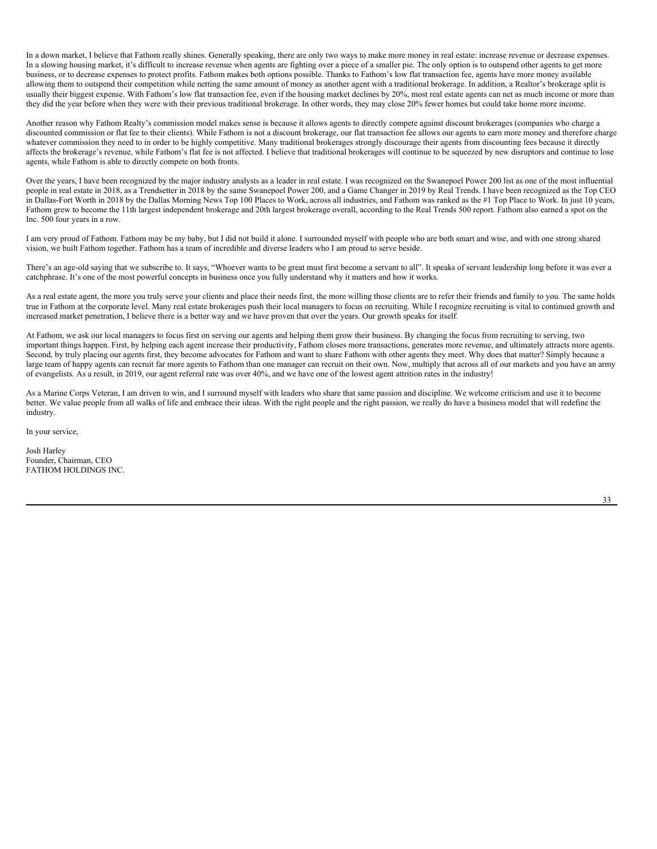In a down market, I believe that Fathom really shines. Generally speaking, there are only two ways to make more money in real estate: increase revenue or decrease expenses. In a slowing housing market, it's difficult to increase revenue when agents are fighting over a piece of a smaller pie. The only option is to outspend other agents to get more business, or to decrease expenses to protect profits. Fathom makes both options possible. Thanks to Fathom's low flat transaction fee, agents have more money available allowing them to outspend their competition while netting the same amount of money as another agent with a traditional brokerage. In addition, a Realtor's brokerage split is usually their biggest expense. With Fathom's low flat transaction fee, even if the housing market declines by 20%, most real estate agents can net as much income or more than they did the year before when they were with their previous traditional brokerage. In other words, they may close 20% fewer homes but could take home more income.

Another reason why Fathom Realty's commission model makes sense is because it allows agents to directly compete against discount brokerages (companies who charge a discounted commission or flat fee to their clients). While Fathom is not a discount brokerage, our flat transaction fee allows our agents to earn more money and therefore charge whatever commission they need to in order to be highly competitive. Many traditional brokerages strongly discourage their agents from discounting fees because it directly affects the brokerage's revenue, while Fathom's flat fee is not affected. I believe that traditional brokerages will continue to be squeezed by new disruptors and continue to lose agents, while Fathom is able to directly compete on both fronts.

Over the years, I have been recognized by the major industry analysts as a leader in real estate. I was recognized on the Swanepoel Power 200 list as one of the most influential people in real estate in 2018, as a Trendsetter in 2018 by the same Swanepoel Power 200, and a Game Changer in 2019 by Real Trends. I have been recognized as the Top CEO in Dallas-Fort Worth in 2018 by the Dallas Morning News Top 100 Places to Work, across all industries, and Fathom was ranked as the #1 Top Place to Work. In just 10 years, Fathom grew to become the 11th largest independent brokerage and 20th largest brokerage overall, according to the Real Trends 500 report. Fathom also earned a spot on the Inc. 500 four years in a row.

I am very proud of Fathom. Fathom may be my baby, but I did not build it alone. I surrounded myself with people who are both smart and wise, and with one strong shared vision, we built Fathom together. Fathom has a team of incredible and diverse leaders who I am proud to serve beside.

There's an age-old saying that we subscribe to. It says, "Whoever wants to be great must first become a servant to all". It speaks of servant leadership long before it was ever a catchphrase. It's one of the most powerful concepts in business once you fully understand why it matters and how it works.

As a real estate agent, the more you truly serve your clients and place their needs first, the more willing those clients are to refer their friends and family to you. The same holds true in Fathom at the corporate level. Many real estate brokerages push their local managers to focus on recruiting. While I recognize recruiting is vital to continued growth and increased market penetration, I believe there is a better way and we have proven that over the years. Our growth speaks for itself.

At Fathom, we ask our local managers to focus first on serving our agents and helping them grow their business. By changing the focus from recruiting to serving, two important things happen. First, by helping each agent increase their productivity, Fathom closes more transactions, generates more revenue, and ultimately attracts more agents. Second, by truly placing our agents first, they become advocates for Fathom and want to share Fathom with other agents they meet. Why does that matter? Simply because a large team of happy agents can recruit far more agents to Fathom than one manager can recruit on their own. Now, multiply that across all of our markets and you have an army of evangelists. As a result, in 2019, our agent referral rate was over 40%, and we have one of the lowest agent attrition rates in the industry!

As a Marine Corps Veteran, I am driven to win, and I surround myself with leaders who share that same passion and discipline. We welcome criticism and use it to become better. We value people from all walks of life and embrace their ideas. With the right people and the right passion, we really do have a business model that will redefine the industry.

In your service,

Josh Harley Founder, Chairman, CEO FATHOM HOLDINGS INC.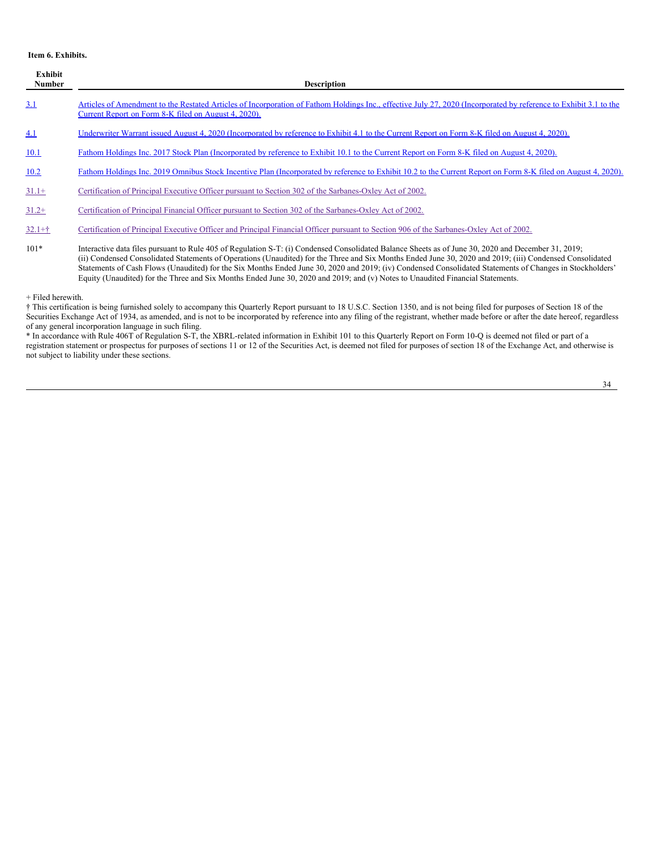# <span id="page-34-0"></span>**Item 6. Exhibits.**

| Exhibit<br>Number | <b>Description</b>                                                                                                                                                                                                                                                                                                                                                                                                                                                                                                                                                                                            |
|-------------------|---------------------------------------------------------------------------------------------------------------------------------------------------------------------------------------------------------------------------------------------------------------------------------------------------------------------------------------------------------------------------------------------------------------------------------------------------------------------------------------------------------------------------------------------------------------------------------------------------------------|
| 3.1               | Articles of Amendment to the Restated Articles of Incorporation of Fathom Holdings Inc., effective July 27, 2020 (Incorporated by reference to Exhibit 3.1 to the<br>Current Report on Form 8-K filed on August 4, 2020).                                                                                                                                                                                                                                                                                                                                                                                     |
| 4.1               | Underwriter Warrant issued August 4, 2020 (Incorporated by reference to Exhibit 4.1 to the Current Report on Form 8-K filed on August 4, 2020).                                                                                                                                                                                                                                                                                                                                                                                                                                                               |
| 10.1              | Fathom Holdings Inc. 2017 Stock Plan (Incorporated by reference to Exhibit 10.1 to the Current Report on Form 8-K filed on August 4, 2020).                                                                                                                                                                                                                                                                                                                                                                                                                                                                   |
| 10.2              | Fathom Holdings Inc. 2019 Omnibus Stock Incentive Plan (Incorporated by reference to Exhibit 10.2 to the Current Report on Form 8-K filed on August 4, 2020).                                                                                                                                                                                                                                                                                                                                                                                                                                                 |
| $31.1+$           | Certification of Principal Executive Officer pursuant to Section 302 of the Sarbanes-Oxley Act of 2002.                                                                                                                                                                                                                                                                                                                                                                                                                                                                                                       |
| $31.2+$           | Certification of Principal Financial Officer pursuant to Section 302 of the Sarbanes-Oxley Act of 2002.                                                                                                                                                                                                                                                                                                                                                                                                                                                                                                       |
| $32.1 +$ †        | Certification of Principal Executive Officer and Principal Financial Officer pursuant to Section 906 of the Sarbanes-Oxley Act of 2002.                                                                                                                                                                                                                                                                                                                                                                                                                                                                       |
| $101*$            | Interactive data files pursuant to Rule 405 of Regulation S-T: (i) Condensed Consolidated Balance Sheets as of June 30, 2020 and December 31, 2019;<br>(ii) Condensed Consolidated Statements of Operations (Unaudited) for the Three and Six Months Ended June 30, 2020 and 2019; (iii) Condensed Consolidated<br>Statements of Cash Flows (Unaudited) for the Six Months Ended June 30, 2020 and 2019; (iv) Condensed Consolidated Statements of Changes in Stockholders'<br>Equity (Unaudited) for the Three and Six Months Ended June 30, 2020 and 2019; and (v) Notes to Unaudited Financial Statements. |

#### + Filed herewith.

† This certification is being furnished solely to accompany this Quarterly Report pursuant to 18 U.S.C. Section 1350, and is not being filed for purposes of Section 18 of the Securities Exchange Act of 1934, as amended, and is not to be incorporated by reference into any filing of the registrant, whether made before or after the date hereof, regardless of any general incorporation language in such filing.

\* In accordance with Rule 406T of Regulation S-T, the XBRL-related information in Exhibit 101 to this Quarterly Report on Form 10-Q is deemed not filed or part of a registration statement or prospectus for purposes of sections 11 or 12 of the Securities Act, is deemed not filed for purposes of section 18 of the Exchange Act, and otherwise is not subject to liability under these sections.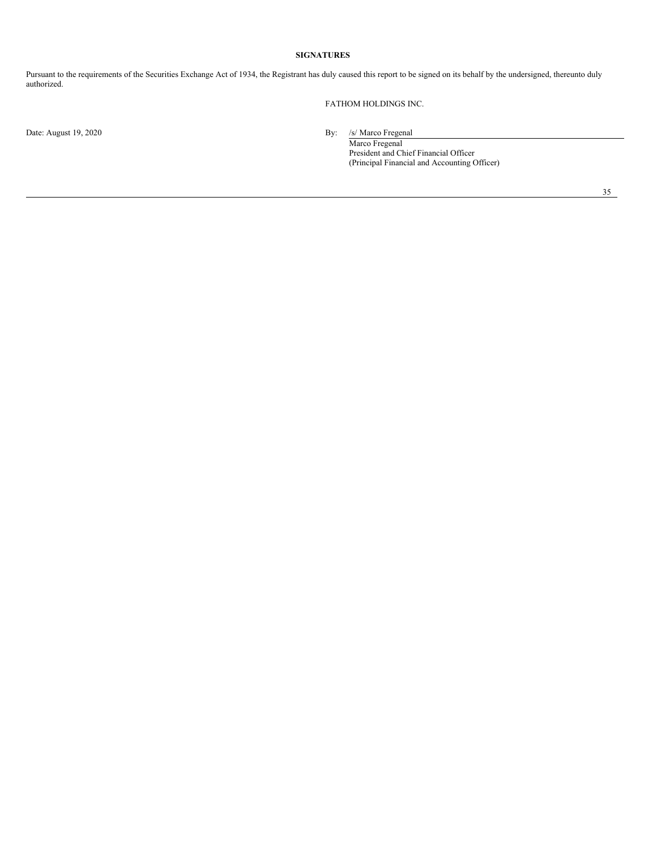# <span id="page-35-0"></span>**SIGNATURES**

Pursuant to the requirements of the Securities Exchange Act of 1934, the Registrant has duly caused this report to be signed on its behalf by the undersigned, thereunto duly authorized.

FATHOM HOLDINGS INC.

Date: August 19, 2020 By: /s/ Marco Fregenal

Marco Fregenal President and Chief Financial Officer (Principal Financial and Accounting Officer)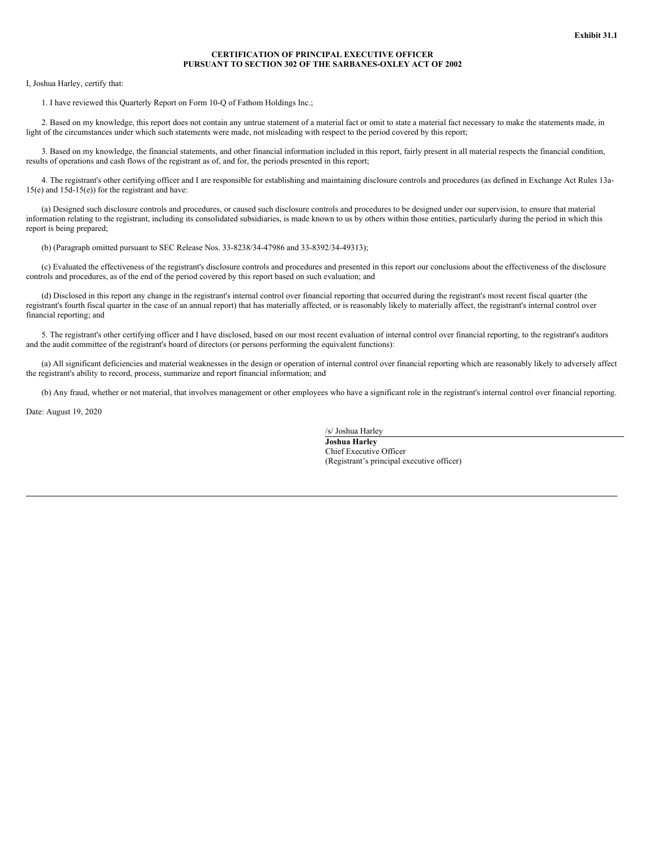# **CERTIFICATION OF PRINCIPAL EXECUTIVE OFFICER PURSUANT TO SECTION 302 OF THE SARBANES-OXLEY ACT OF 2002**

<span id="page-36-0"></span>I, Joshua Harley, certify that:

1. I have reviewed this Quarterly Report on Form 10-Q of Fathom Holdings Inc.;

2. Based on my knowledge, this report does not contain any untrue statement of a material fact or omit to state a material fact necessary to make the statements made, in light of the circumstances under which such statements were made, not misleading with respect to the period covered by this report;

3. Based on my knowledge, the financial statements, and other financial information included in this report, fairly present in all material respects the financial condition, results of operations and cash flows of the registrant as of, and for, the periods presented in this report;

4. The registrant's other certifying officer and I are responsible for establishing and maintaining disclosure controls and procedures (as defined in Exchange Act Rules 13a-15(e) and 15d-15(e)) for the registrant and have:

(a) Designed such disclosure controls and procedures, or caused such disclosure controls and procedures to be designed under our supervision, to ensure that material information relating to the registrant, including its consolidated subsidiaries, is made known to us by others within those entities, particularly during the period in which this report is being prepared;

(b) (Paragraph omitted pursuant to SEC Release Nos. 33-8238/34-47986 and 33-8392/34-49313);

(c) Evaluated the effectiveness of the registrant's disclosure controls and procedures and presented in this report our conclusions about the effectiveness of the disclosure controls and procedures, as of the end of the period covered by this report based on such evaluation; and

(d) Disclosed in this report any change in the registrant's internal control over financial reporting that occurred during the registrant's most recent fiscal quarter (the registrant's fourth fiscal quarter in the case of an annual report) that has materially affected, or is reasonably likely to materially affect, the registrant's internal control over financial reporting; and

5. The registrant's other certifying officer and I have disclosed, based on our most recent evaluation of internal control over financial reporting, to the registrant's auditors and the audit committee of the registrant's board of directors (or persons performing the equivalent functions):

(a) All significant deficiencies and material weaknesses in the design or operation of internal control over financial reporting which are reasonably likely to adversely affect the registrant's ability to record, process, summarize and report financial information; and

(b) Any fraud, whether or not material, that involves management or other employees who have a significant role in the registrant's internal control over financial reporting.

Date: August 19, 2020

/s/ Joshua Harley

**Joshua Harley** Chief Executive Officer (Registrant's principal executive officer)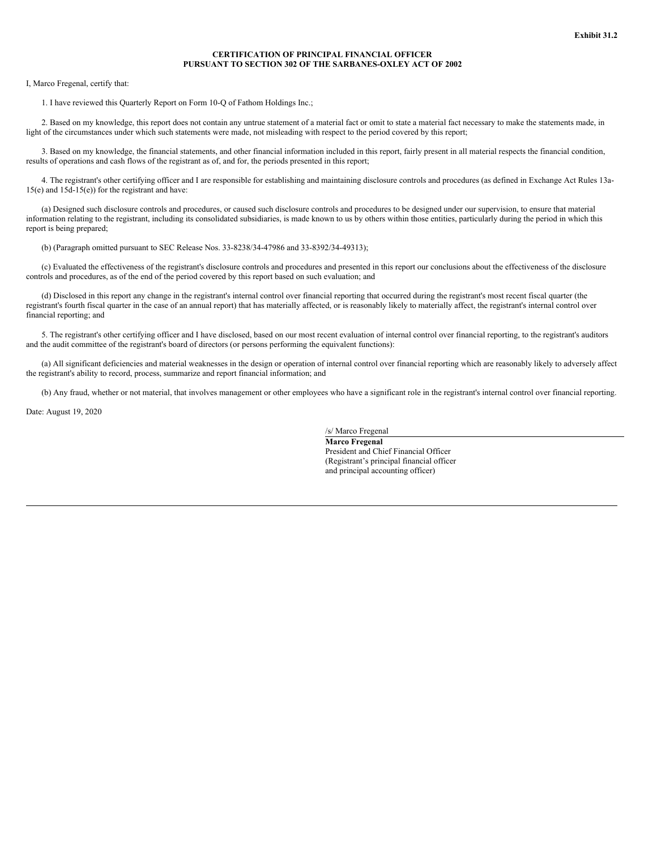# **CERTIFICATION OF PRINCIPAL FINANCIAL OFFICER PURSUANT TO SECTION 302 OF THE SARBANES-OXLEY ACT OF 2002**

<span id="page-37-0"></span>I, Marco Fregenal, certify that:

1. I have reviewed this Quarterly Report on Form 10-Q of Fathom Holdings Inc.;

2. Based on my knowledge, this report does not contain any untrue statement of a material fact or omit to state a material fact necessary to make the statements made, in light of the circumstances under which such statements were made, not misleading with respect to the period covered by this report;

3. Based on my knowledge, the financial statements, and other financial information included in this report, fairly present in all material respects the financial condition, results of operations and cash flows of the registrant as of, and for, the periods presented in this report;

4. The registrant's other certifying officer and I are responsible for establishing and maintaining disclosure controls and procedures (as defined in Exchange Act Rules 13a-15(e) and 15d-15(e)) for the registrant and have:

(a) Designed such disclosure controls and procedures, or caused such disclosure controls and procedures to be designed under our supervision, to ensure that material information relating to the registrant, including its consolidated subsidiaries, is made known to us by others within those entities, particularly during the period in which this report is being prepared;

(b) (Paragraph omitted pursuant to SEC Release Nos. 33-8238/34-47986 and 33-8392/34-49313);

(c) Evaluated the effectiveness of the registrant's disclosure controls and procedures and presented in this report our conclusions about the effectiveness of the disclosure controls and procedures, as of the end of the period covered by this report based on such evaluation; and

(d) Disclosed in this report any change in the registrant's internal control over financial reporting that occurred during the registrant's most recent fiscal quarter (the registrant's fourth fiscal quarter in the case of an annual report) that has materially affected, or is reasonably likely to materially affect, the registrant's internal control over financial reporting; and

5. The registrant's other certifying officer and I have disclosed, based on our most recent evaluation of internal control over financial reporting, to the registrant's auditors and the audit committee of the registrant's board of directors (or persons performing the equivalent functions):

(a) All significant deficiencies and material weaknesses in the design or operation of internal control over financial reporting which are reasonably likely to adversely affect the registrant's ability to record, process, summarize and report financial information; and

(b) Any fraud, whether or not material, that involves management or other employees who have a significant role in the registrant's internal control over financial reporting.

Date: August 19, 2020

/s/ Marco Fregenal

**Marco Fregenal** President and Chief Financial Officer (Registrant's principal financial officer and principal accounting officer)